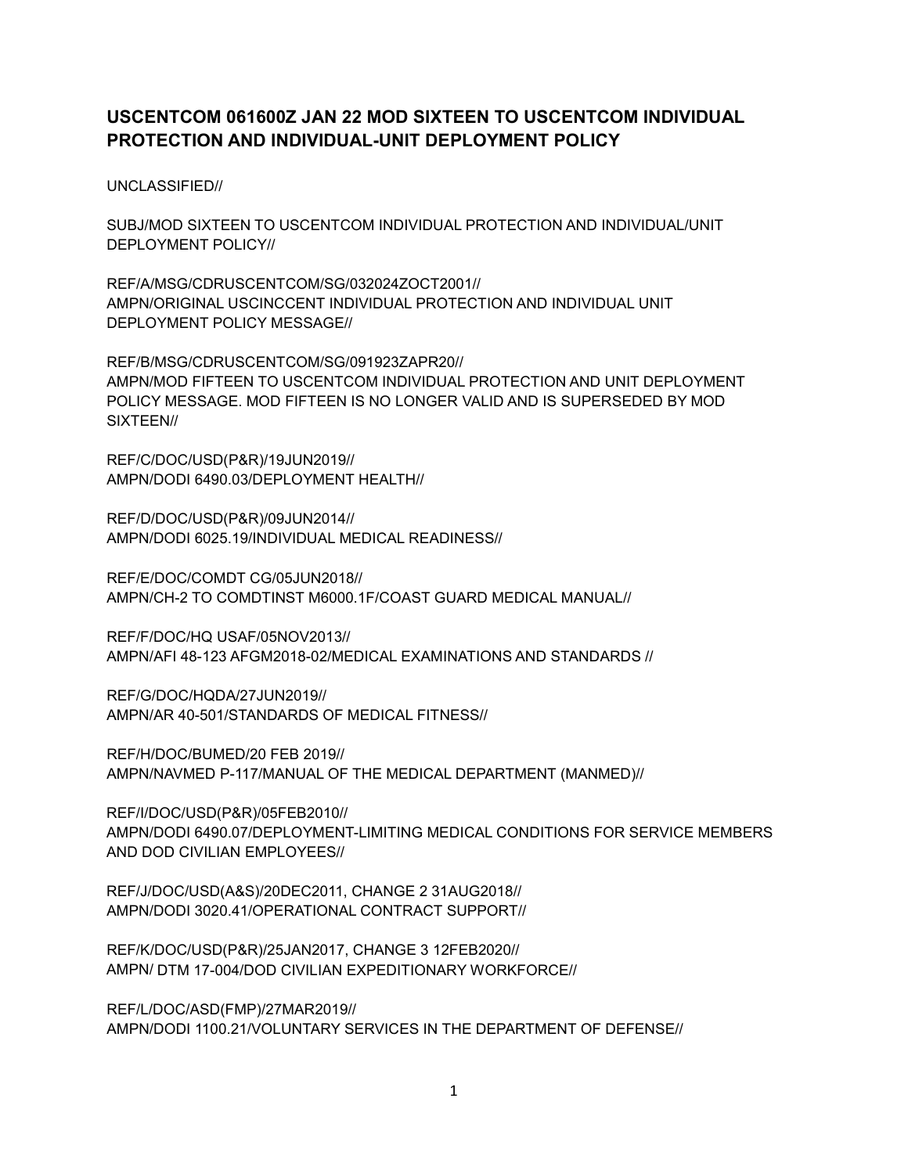# **USCENTCOM 061600Z JAN 22 MOD SIXTEEN TO USCENTCOM INDIVIDUAL PROTECTION AND INDIVIDUAL-UNIT DEPLOYMENT POLICY**

UNCLASSIFIED//

SUBJ/MOD SIXTEEN TO USCENTCOM INDIVIDUAL PROTECTION AND INDIVIDUAL/UNIT DEPLOYMENT POLICY//

REF/A/MSG/CDRUSCENTCOM/SG/032024ZOCT2001// AMPN/ORIGINAL USCINCCENT INDIVIDUAL PROTECTION AND INDIVIDUAL UNIT DEPLOYMENT POLICY MESSAGE//

REF/B/MSG/CDRUSCENTCOM/SG/091923ZAPR20// AMPN/MOD FIFTEEN TO USCENTCOM INDIVIDUAL PROTECTION AND UNIT DEPLOYMENT POLICY MESSAGE. MOD FIFTEEN IS NO LONGER VALID AND IS SUPERSEDED BY MOD SIXTEEN//

REF/C/DOC/USD(P&R)/19JUN2019// AMPN/DODI 6490.03/DEPLOYMENT HEALTH//

REF/D/DOC/USD(P&R)/09JUN2014// AMPN/DODI 6025.19/INDIVIDUAL MEDICAL READINESS//

REF/E/DOC/COMDT CG/05JUN2018// AMPN/CH-2 TO COMDTINST M6000.1F/COAST GUARD MEDICAL MANUAL//

REF/F/DOC/HQ USAF/05NOV2013// AMPN/AFI 48-123 AFGM2018-02/MEDICAL EXAMINATIONS AND STANDARDS //

REF/G/DOC/HQDA/27JUN2019// AMPN/AR 40-501/STANDARDS OF MEDICAL FITNESS//

REF/H/DOC/BUMED/20 FEB 2019// AMPN/NAVMED P-117/MANUAL OF THE MEDICAL DEPARTMENT (MANMED)//

REF/I/DOC/USD(P&R)/05FEB2010// AMPN/DODI 6490.07/DEPLOYMENT-LIMITING MEDICAL CONDITIONS FOR SERVICE MEMBERS AND DOD CIVILIAN EMPLOYEES//

REF/J/DOC/USD(A&S)/20DEC2011, CHANGE 2 31AUG2018// AMPN/DODI 3020.41/OPERATIONAL CONTRACT SUPPORT//

REF/K/DOC/USD(P&R)/25JAN2017, CHANGE 3 12FEB2020// AMPN/ DTM 17-004/DOD CIVILIAN EXPEDITIONARY WORKFORCE//

REF/L/DOC/ASD(FMP)/27MAR2019// AMPN/DODI 1100.21/VOLUNTARY SERVICES IN THE DEPARTMENT OF DEFENSE//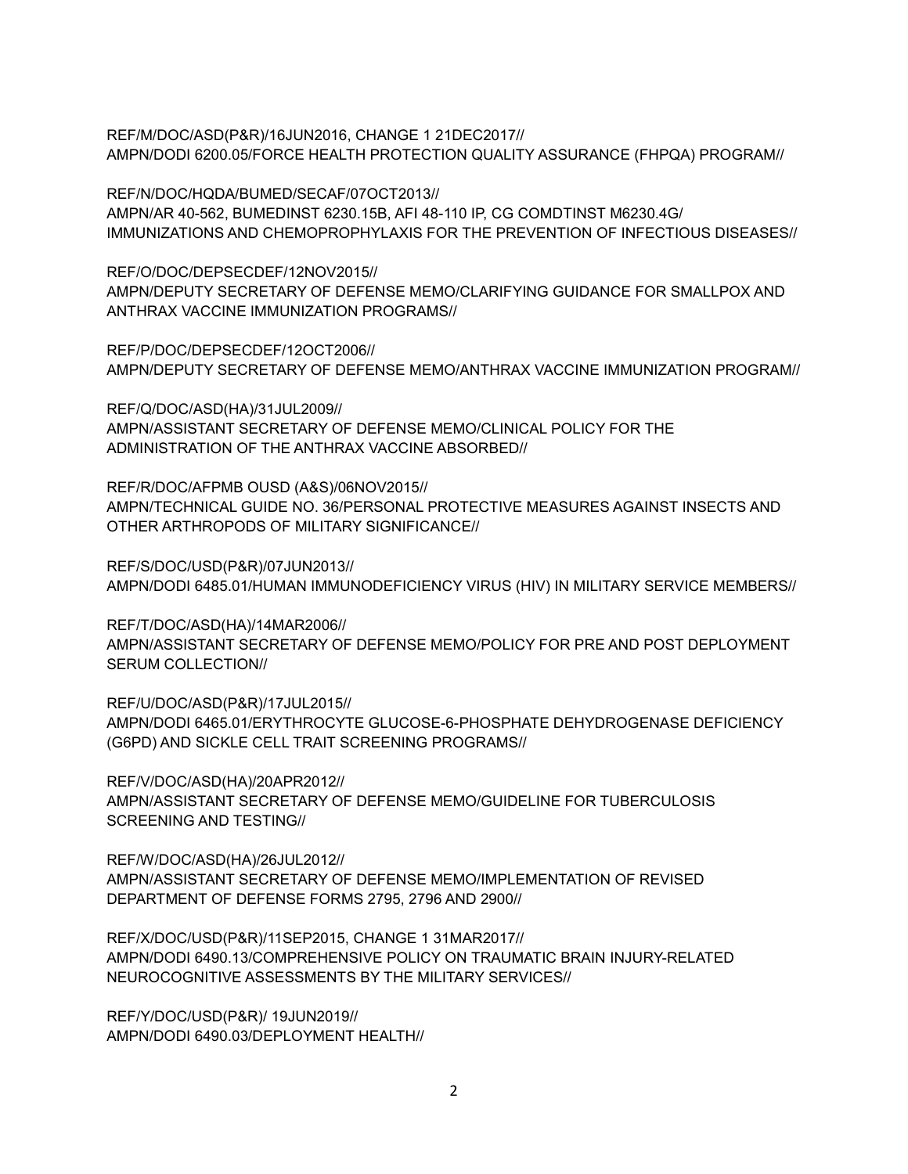REF/M/DOC/ASD(P&R)/16JUN2016, CHANGE 1 21DEC2017// AMPN/DODI 6200.05/FORCE HEALTH PROTECTION QUALITY ASSURANCE (FHPQA) PROGRAM//

REF/N/DOC/HQDA/BUMED/SECAF/07OCT2013// AMPN/AR 40-562, BUMEDINST 6230.15B, AFI 48-110 IP, CG COMDTINST M6230.4G/ IMMUNIZATIONS AND CHEMOPROPHYLAXIS FOR THE PREVENTION OF INFECTIOUS DISEASES//

REF/O/DOC/DEPSECDEF/12NOV2015// AMPN/DEPUTY SECRETARY OF DEFENSE MEMO/CLARIFYING GUIDANCE FOR SMALLPOX AND ANTHRAX VACCINE IMMUNIZATION PROGRAMS//

REF/P/DOC/DEPSECDEF/12OCT2006// AMPN/DEPUTY SECRETARY OF DEFENSE MEMO/ANTHRAX VACCINE IMMUNIZATION PROGRAM//

REF/Q/DOC/ASD(HA)/31JUL2009// AMPN/ASSISTANT SECRETARY OF DEFENSE MEMO/CLINICAL POLICY FOR THE ADMINISTRATION OF THE ANTHRAX VACCINE ABSORBED//

REF/R/DOC/AFPMB OUSD (A&S)/06NOV2015// AMPN/TECHNICAL GUIDE NO. 36/PERSONAL PROTECTIVE MEASURES AGAINST INSECTS AND OTHER ARTHROPODS OF MILITARY SIGNIFICANCE//

REF/S/DOC/USD(P&R)/07JUN2013// AMPN/DODI 6485.01/HUMAN IMMUNODEFICIENCY VIRUS (HIV) IN MILITARY SERVICE MEMBERS//

REF/T/DOC/ASD(HA)/14MAR2006// AMPN/ASSISTANT SECRETARY OF DEFENSE MEMO/POLICY FOR PRE AND POST DEPLOYMENT SERUM COLLECTION//

REF/U/DOC/ASD(P&R)/17JUL2015// AMPN/DODI 6465.01/ERYTHROCYTE GLUCOSE-6-PHOSPHATE DEHYDROGENASE DEFICIENCY (G6PD) AND SICKLE CELL TRAIT SCREENING PROGRAMS//

REF/V/DOC/ASD(HA)/20APR2012// AMPN/ASSISTANT SECRETARY OF DEFENSE MEMO/GUIDELINE FOR TUBERCULOSIS SCREENING AND TESTING//

REF/W/DOC/ASD(HA)/26JUL2012// AMPN/ASSISTANT SECRETARY OF DEFENSE MEMO/IMPLEMENTATION OF REVISED DEPARTMENT OF DEFENSE FORMS 2795, 2796 AND 2900//

REF/X/DOC/USD(P&R)/11SEP2015, CHANGE 1 31MAR2017// AMPN/DODI 6490.13/COMPREHENSIVE POLICY ON TRAUMATIC BRAIN INJURY-RELATED NEUROCOGNITIVE ASSESSMENTS BY THE MILITARY SERVICES//

REF/Y/DOC/USD(P&R)/ 19JUN2019// AMPN/DODI 6490.03/DEPLOYMENT HEALTH//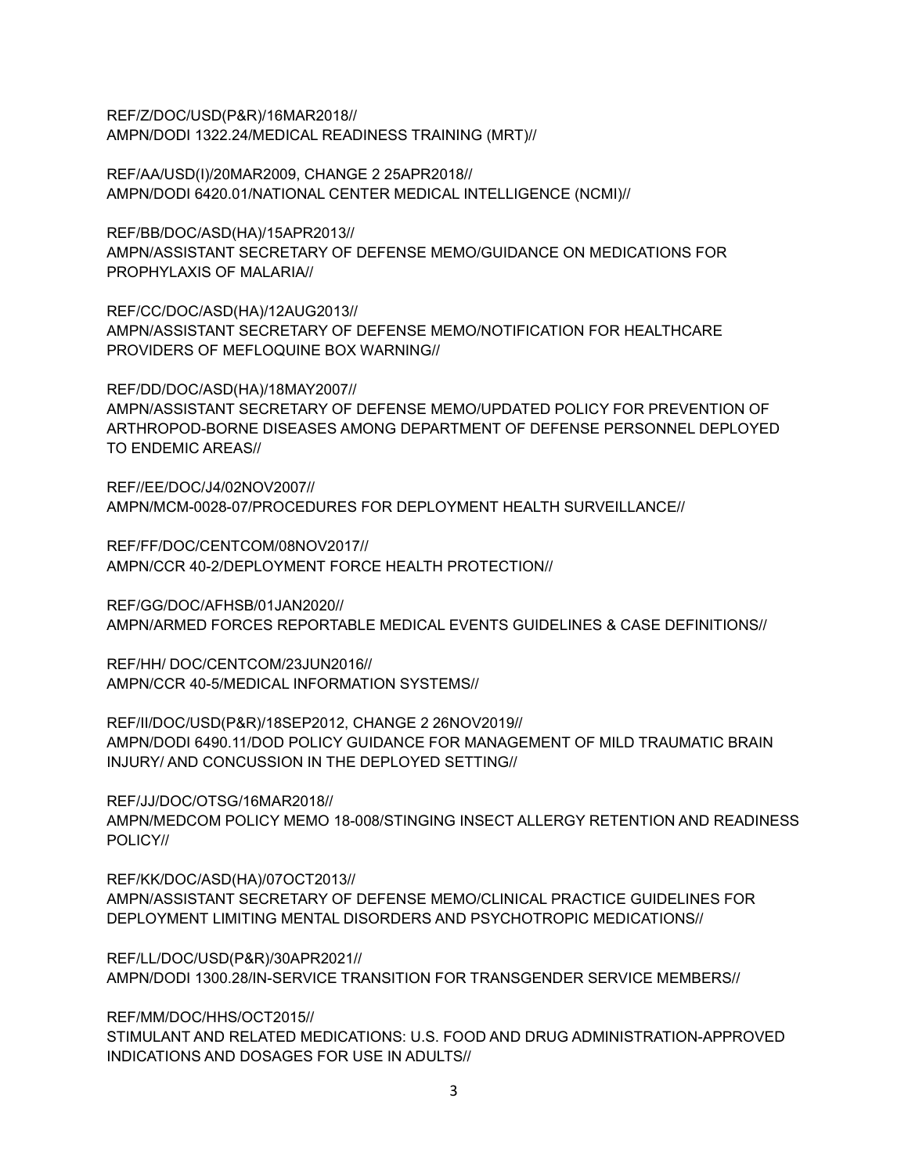REF/Z/DOC/USD(P&R)/16MAR2018// AMPN/DODI 1322.24/MEDICAL READINESS TRAINING (MRT)//

REF/AA/USD(I)/20MAR2009, CHANGE 2 25APR2018// AMPN/DODI 6420.01/NATIONAL CENTER MEDICAL INTELLIGENCE (NCMI)//

REF/BB/DOC/ASD(HA)/15APR2013// AMPN/ASSISTANT SECRETARY OF DEFENSE MEMO/GUIDANCE ON MEDICATIONS FOR PROPHYLAXIS OF MALARIA//

REF/CC/DOC/ASD(HA)/12AUG2013// AMPN/ASSISTANT SECRETARY OF DEFENSE MEMO/NOTIFICATION FOR HEALTHCARE PROVIDERS OF MEFLOQUINE BOX WARNING//

REF/DD/DOC/ASD(HA)/18MAY2007// AMPN/ASSISTANT SECRETARY OF DEFENSE MEMO/UPDATED POLICY FOR PREVENTION OF ARTHROPOD-BORNE DISEASES AMONG DEPARTMENT OF DEFENSE PERSONNEL DEPLOYED TO ENDEMIC AREAS//

REF//EE/DOC/J4/02NOV2007// AMPN/MCM-0028-07/PROCEDURES FOR DEPLOYMENT HEALTH SURVEILLANCE//

REF/FF/DOC/CENTCOM/08NOV2017// AMPN/CCR 40-2/DEPLOYMENT FORCE HEALTH PROTECTION//

REF/GG/DOC/AFHSB/01JAN2020// AMPN/ARMED FORCES REPORTABLE MEDICAL EVENTS GUIDELINES & CASE DEFINITIONS//

REF/HH/ DOC/CENTCOM/23JUN2016// AMPN/CCR 40-5/MEDICAL INFORMATION SYSTEMS//

REF/II/DOC/USD(P&R)/18SEP2012, CHANGE 2 26NOV2019// AMPN/DODI 6490.11/DOD POLICY GUIDANCE FOR MANAGEMENT OF MILD TRAUMATIC BRAIN INJURY/ AND CONCUSSION IN THE DEPLOYED SETTING//

REF/JJ/DOC/OTSG/16MAR2018//

AMPN/MEDCOM POLICY MEMO 18-008/STINGING INSECT ALLERGY RETENTION AND READINESS POLICY//

REF/KK/DOC/ASD(HA)/07OCT2013// AMPN/ASSISTANT SECRETARY OF DEFENSE MEMO/CLINICAL PRACTICE GUIDELINES FOR DEPLOYMENT LIMITING MENTAL DISORDERS AND PSYCHOTROPIC MEDICATIONS//

REF/LL/DOC/USD(P&R)/30APR2021// AMPN/DODI 1300.28/IN-SERVICE TRANSITION FOR TRANSGENDER SERVICE MEMBERS//

REF/MM/DOC/HHS/OCT2015//

STIMULANT AND RELATED MEDICATIONS: U.S. FOOD AND DRUG ADMINISTRATION-APPROVED INDICATIONS AND DOSAGES FOR USE IN ADULTS//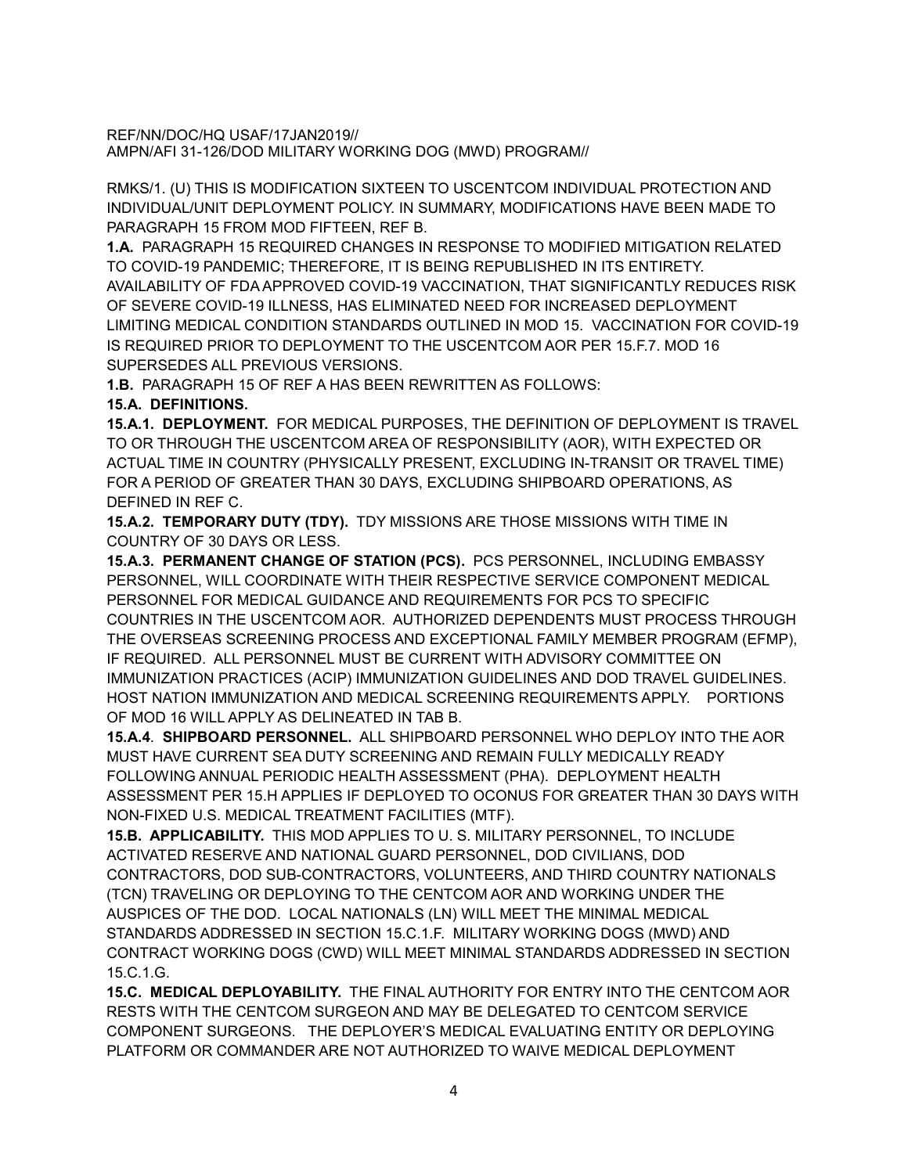REF/NN/DOC/HQ USAF/17JAN2019// AMPN/AFI 31-126/DOD MILITARY WORKING DOG (MWD) PROGRAM//

RMKS/1. (U) THIS IS MODIFICATION SIXTEEN TO USCENTCOM INDIVIDUAL PROTECTION AND INDIVIDUAL/UNIT DEPLOYMENT POLICY. IN SUMMARY, MODIFICATIONS HAVE BEEN MADE TO PARAGRAPH 15 FROM MOD FIFTEEN, REF B.

**1.A.** PARAGRAPH 15 REQUIRED CHANGES IN RESPONSE TO MODIFIED MITIGATION RELATED TO COVID-19 PANDEMIC; THEREFORE, IT IS BEING REPUBLISHED IN ITS ENTIRETY. AVAILABILITY OF FDA APPROVED COVID-19 VACCINATION, THAT SIGNIFICANTLY REDUCES RISK OF SEVERE COVID-19 ILLNESS, HAS ELIMINATED NEED FOR INCREASED DEPLOYMENT LIMITING MEDICAL CONDITION STANDARDS OUTLINED IN MOD 15. VACCINATION FOR COVID-19 IS REQUIRED PRIOR TO DEPLOYMENT TO THE USCENTCOM AOR PER 15.F.7. MOD 16 SUPERSEDES ALL PREVIOUS VERSIONS.

**1.B.** PARAGRAPH 15 OF REF A HAS BEEN REWRITTEN AS FOLLOWS:

## **15.A. DEFINITIONS.**

**15.A.1. DEPLOYMENT.** FOR MEDICAL PURPOSES, THE DEFINITION OF DEPLOYMENT IS TRAVEL TO OR THROUGH THE USCENTCOM AREA OF RESPONSIBILITY (AOR), WITH EXPECTED OR ACTUAL TIME IN COUNTRY (PHYSICALLY PRESENT, EXCLUDING IN-TRANSIT OR TRAVEL TIME) FOR A PERIOD OF GREATER THAN 30 DAYS, EXCLUDING SHIPBOARD OPERATIONS, AS DEFINED IN REF C.

**15.A.2. TEMPORARY DUTY (TDY).** TDY MISSIONS ARE THOSE MISSIONS WITH TIME IN COUNTRY OF 30 DAYS OR LESS.

**15.A.3. PERMANENT CHANGE OF STATION (PCS).** PCS PERSONNEL, INCLUDING EMBASSY PERSONNEL, WILL COORDINATE WITH THEIR RESPECTIVE SERVICE COMPONENT MEDICAL PERSONNEL FOR MEDICAL GUIDANCE AND REQUIREMENTS FOR PCS TO SPECIFIC COUNTRIES IN THE USCENTCOM AOR. AUTHORIZED DEPENDENTS MUST PROCESS THROUGH THE OVERSEAS SCREENING PROCESS AND EXCEPTIONAL FAMILY MEMBER PROGRAM (EFMP), IF REQUIRED. ALL PERSONNEL MUST BE CURRENT WITH ADVISORY COMMITTEE ON IMMUNIZATION PRACTICES (ACIP) IMMUNIZATION GUIDELINES AND DOD TRAVEL GUIDELINES. HOST NATION IMMUNIZATION AND MEDICAL SCREENING REQUIREMENTS APPLY. PORTIONS OF MOD 16 WILL APPLY AS DELINEATED IN TAB B.

**15.A.4**. **SHIPBOARD PERSONNEL.** ALL SHIPBOARD PERSONNEL WHO DEPLOY INTO THE AOR MUST HAVE CURRENT SEA DUTY SCREENING AND REMAIN FULLY MEDICALLY READY FOLLOWING ANNUAL PERIODIC HEALTH ASSESSMENT (PHA). DEPLOYMENT HEALTH ASSESSMENT PER 15.H APPLIES IF DEPLOYED TO OCONUS FOR GREATER THAN 30 DAYS WITH NON-FIXED U.S. MEDICAL TREATMENT FACILITIES (MTF).

**15.B. APPLICABILITY.** THIS MOD APPLIES TO U. S. MILITARY PERSONNEL, TO INCLUDE ACTIVATED RESERVE AND NATIONAL GUARD PERSONNEL, DOD CIVILIANS, DOD CONTRACTORS, DOD SUB-CONTRACTORS, VOLUNTEERS, AND THIRD COUNTRY NATIONALS (TCN) TRAVELING OR DEPLOYING TO THE CENTCOM AOR AND WORKING UNDER THE AUSPICES OF THE DOD. LOCAL NATIONALS (LN) WILL MEET THE MINIMAL MEDICAL STANDARDS ADDRESSED IN SECTION 15.C.1.F. MILITARY WORKING DOGS (MWD) AND CONTRACT WORKING DOGS (CWD) WILL MEET MINIMAL STANDARDS ADDRESSED IN SECTION 15.C.1.G.

**15.C. MEDICAL DEPLOYABILITY.** THE FINAL AUTHORITY FOR ENTRY INTO THE CENTCOM AOR RESTS WITH THE CENTCOM SURGEON AND MAY BE DELEGATED TO CENTCOM SERVICE COMPONENT SURGEONS. THE DEPLOYER'S MEDICAL EVALUATING ENTITY OR DEPLOYING PLATFORM OR COMMANDER ARE NOT AUTHORIZED TO WAIVE MEDICAL DEPLOYMENT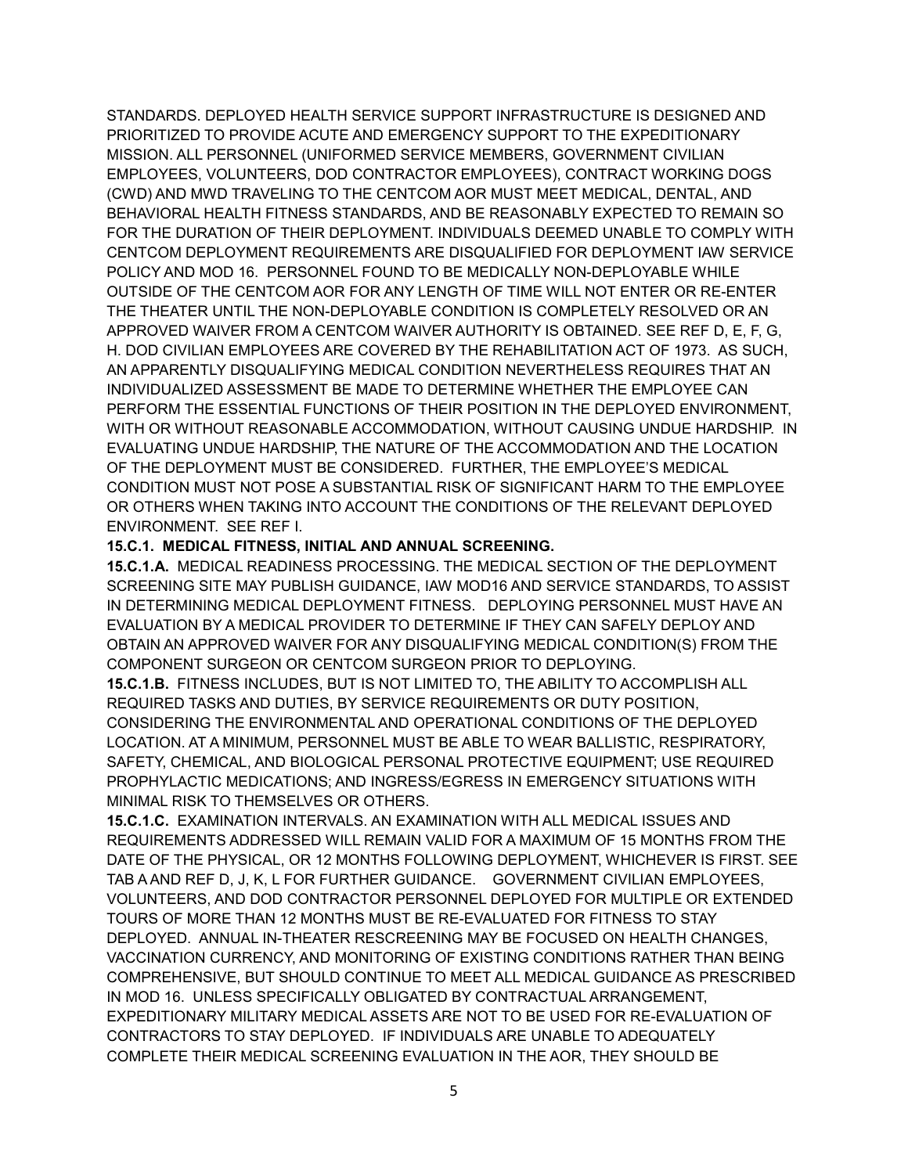STANDARDS. DEPLOYED HEALTH SERVICE SUPPORT INFRASTRUCTURE IS DESIGNED AND PRIORITIZED TO PROVIDE ACUTE AND EMERGENCY SUPPORT TO THE EXPEDITIONARY MISSION. ALL PERSONNEL (UNIFORMED SERVICE MEMBERS, GOVERNMENT CIVILIAN EMPLOYEES, VOLUNTEERS, DOD CONTRACTOR EMPLOYEES), CONTRACT WORKING DOGS (CWD) AND MWD TRAVELING TO THE CENTCOM AOR MUST MEET MEDICAL, DENTAL, AND BEHAVIORAL HEALTH FITNESS STANDARDS, AND BE REASONABLY EXPECTED TO REMAIN SO FOR THE DURATION OF THEIR DEPLOYMENT. INDIVIDUALS DEEMED UNABLE TO COMPLY WITH CENTCOM DEPLOYMENT REQUIREMENTS ARE DISQUALIFIED FOR DEPLOYMENT IAW SERVICE POLICY AND MOD 16. PERSONNEL FOUND TO BE MEDICALLY NON-DEPLOYABLE WHILE OUTSIDE OF THE CENTCOM AOR FOR ANY LENGTH OF TIME WILL NOT ENTER OR RE-ENTER THE THEATER UNTIL THE NON-DEPLOYABLE CONDITION IS COMPLETELY RESOLVED OR AN APPROVED WAIVER FROM A CENTCOM WAIVER AUTHORITY IS OBTAINED. SEE REF D, E, F, G, H. DOD CIVILIAN EMPLOYEES ARE COVERED BY THE REHABILITATION ACT OF 1973. AS SUCH, AN APPARENTLY DISQUALIFYING MEDICAL CONDITION NEVERTHELESS REQUIRES THAT AN INDIVIDUALIZED ASSESSMENT BE MADE TO DETERMINE WHETHER THE EMPLOYEE CAN PERFORM THE ESSENTIAL FUNCTIONS OF THEIR POSITION IN THE DEPLOYED ENVIRONMENT, WITH OR WITHOUT REASONABLE ACCOMMODATION, WITHOUT CAUSING UNDUE HARDSHIP. IN EVALUATING UNDUE HARDSHIP, THE NATURE OF THE ACCOMMODATION AND THE LOCATION OF THE DEPLOYMENT MUST BE CONSIDERED. FURTHER, THE EMPLOYEE'S MEDICAL CONDITION MUST NOT POSE A SUBSTANTIAL RISK OF SIGNIFICANT HARM TO THE EMPLOYEE OR OTHERS WHEN TAKING INTO ACCOUNT THE CONDITIONS OF THE RELEVANT DEPLOYED ENVIRONMENT. SEE REF I.

#### **15.C.1. MEDICAL FITNESS, INITIAL AND ANNUAL SCREENING.**

**15.C.1.A.** MEDICAL READINESS PROCESSING. THE MEDICAL SECTION OF THE DEPLOYMENT SCREENING SITE MAY PUBLISH GUIDANCE, IAW MOD16 AND SERVICE STANDARDS, TO ASSIST IN DETERMINING MEDICAL DEPLOYMENT FITNESS. DEPLOYING PERSONNEL MUST HAVE AN EVALUATION BY A MEDICAL PROVIDER TO DETERMINE IF THEY CAN SAFELY DEPLOY AND OBTAIN AN APPROVED WAIVER FOR ANY DISQUALIFYING MEDICAL CONDITION(S) FROM THE COMPONENT SURGEON OR CENTCOM SURGEON PRIOR TO DEPLOYING.

**15.C.1.B.** FITNESS INCLUDES, BUT IS NOT LIMITED TO, THE ABILITY TO ACCOMPLISH ALL REQUIRED TASKS AND DUTIES, BY SERVICE REQUIREMENTS OR DUTY POSITION, CONSIDERING THE ENVIRONMENTAL AND OPERATIONAL CONDITIONS OF THE DEPLOYED LOCATION. AT A MINIMUM, PERSONNEL MUST BE ABLE TO WEAR BALLISTIC, RESPIRATORY, SAFETY, CHEMICAL, AND BIOLOGICAL PERSONAL PROTECTIVE EQUIPMENT; USE REQUIRED PROPHYLACTIC MEDICATIONS; AND INGRESS/EGRESS IN EMERGENCY SITUATIONS WITH MINIMAL RISK TO THEMSELVES OR OTHERS.

**15.C.1.C.** EXAMINATION INTERVALS. AN EXAMINATION WITH ALL MEDICAL ISSUES AND REQUIREMENTS ADDRESSED WILL REMAIN VALID FOR A MAXIMUM OF 15 MONTHS FROM THE DATE OF THE PHYSICAL, OR 12 MONTHS FOLLOWING DEPLOYMENT, WHICHEVER IS FIRST. SEE TAB A AND REF D, J, K, L FOR FURTHER GUIDANCE. GOVERNMENT CIVILIAN EMPLOYEES, VOLUNTEERS, AND DOD CONTRACTOR PERSONNEL DEPLOYED FOR MULTIPLE OR EXTENDED TOURS OF MORE THAN 12 MONTHS MUST BE RE-EVALUATED FOR FITNESS TO STAY DEPLOYED. ANNUAL IN-THEATER RESCREENING MAY BE FOCUSED ON HEALTH CHANGES, VACCINATION CURRENCY, AND MONITORING OF EXISTING CONDITIONS RATHER THAN BEING COMPREHENSIVE, BUT SHOULD CONTINUE TO MEET ALL MEDICAL GUIDANCE AS PRESCRIBED IN MOD 16. UNLESS SPECIFICALLY OBLIGATED BY CONTRACTUAL ARRANGEMENT, EXPEDITIONARY MILITARY MEDICAL ASSETS ARE NOT TO BE USED FOR RE-EVALUATION OF CONTRACTORS TO STAY DEPLOYED. IF INDIVIDUALS ARE UNABLE TO ADEQUATELY COMPLETE THEIR MEDICAL SCREENING EVALUATION IN THE AOR, THEY SHOULD BE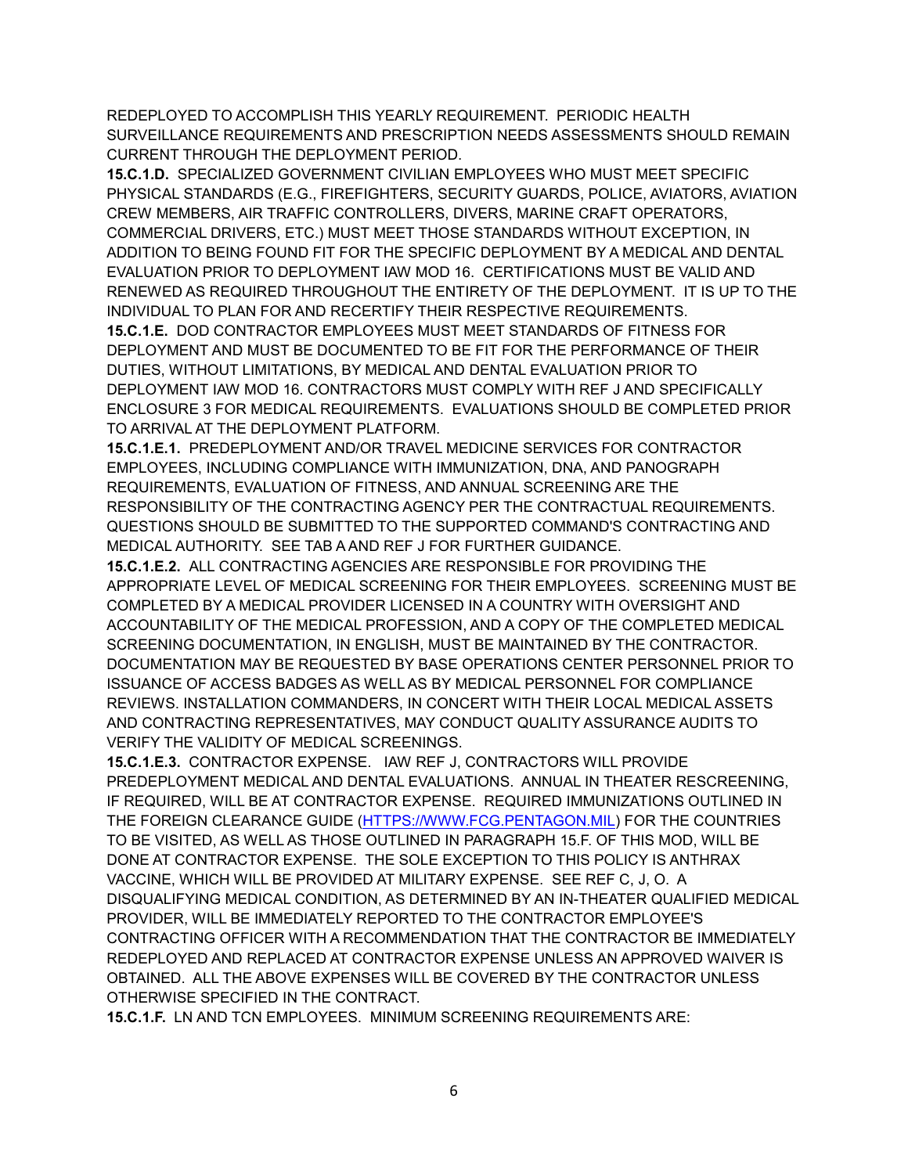REDEPLOYED TO ACCOMPLISH THIS YEARLY REQUIREMENT. PERIODIC HEALTH SURVEILLANCE REQUIREMENTS AND PRESCRIPTION NEEDS ASSESSMENTS SHOULD REMAIN CURRENT THROUGH THE DEPLOYMENT PERIOD.

**15.C.1.D.** SPECIALIZED GOVERNMENT CIVILIAN EMPLOYEES WHO MUST MEET SPECIFIC PHYSICAL STANDARDS (E.G., FIREFIGHTERS, SECURITY GUARDS, POLICE, AVIATORS, AVIATION CREW MEMBERS, AIR TRAFFIC CONTROLLERS, DIVERS, MARINE CRAFT OPERATORS, COMMERCIAL DRIVERS, ETC.) MUST MEET THOSE STANDARDS WITHOUT EXCEPTION, IN ADDITION TO BEING FOUND FIT FOR THE SPECIFIC DEPLOYMENT BY A MEDICAL AND DENTAL EVALUATION PRIOR TO DEPLOYMENT IAW MOD 16. CERTIFICATIONS MUST BE VALID AND RENEWED AS REQUIRED THROUGHOUT THE ENTIRETY OF THE DEPLOYMENT. IT IS UP TO THE INDIVIDUAL TO PLAN FOR AND RECERTIFY THEIR RESPECTIVE REQUIREMENTS. **15.C.1.E.** DOD CONTRACTOR EMPLOYEES MUST MEET STANDARDS OF FITNESS FOR DEPLOYMENT AND MUST BE DOCUMENTED TO BE FIT FOR THE PERFORMANCE OF THEIR DUTIES, WITHOUT LIMITATIONS, BY MEDICAL AND DENTAL EVALUATION PRIOR TO DEPLOYMENT IAW MOD 16. CONTRACTORS MUST COMPLY WITH REF J AND SPECIFICALLY ENCLOSURE 3 FOR MEDICAL REQUIREMENTS. EVALUATIONS SHOULD BE COMPLETED PRIOR TO ARRIVAL AT THE DEPLOYMENT PLATFORM.

**15.C.1.E.1.** PREDEPLOYMENT AND/OR TRAVEL MEDICINE SERVICES FOR CONTRACTOR EMPLOYEES, INCLUDING COMPLIANCE WITH IMMUNIZATION, DNA, AND PANOGRAPH REQUIREMENTS, EVALUATION OF FITNESS, AND ANNUAL SCREENING ARE THE RESPONSIBILITY OF THE CONTRACTING AGENCY PER THE CONTRACTUAL REQUIREMENTS. QUESTIONS SHOULD BE SUBMITTED TO THE SUPPORTED COMMAND'S CONTRACTING AND MEDICAL AUTHORITY. SEE TAB A AND REF J FOR FURTHER GUIDANCE.

**15.C.1.E.2.** ALL CONTRACTING AGENCIES ARE RESPONSIBLE FOR PROVIDING THE APPROPRIATE LEVEL OF MEDICAL SCREENING FOR THEIR EMPLOYEES. SCREENING MUST BE COMPLETED BY A MEDICAL PROVIDER LICENSED IN A COUNTRY WITH OVERSIGHT AND ACCOUNTABILITY OF THE MEDICAL PROFESSION, AND A COPY OF THE COMPLETED MEDICAL SCREENING DOCUMENTATION, IN ENGLISH, MUST BE MAINTAINED BY THE CONTRACTOR. DOCUMENTATION MAY BE REQUESTED BY BASE OPERATIONS CENTER PERSONNEL PRIOR TO ISSUANCE OF ACCESS BADGES AS WELL AS BY MEDICAL PERSONNEL FOR COMPLIANCE REVIEWS. INSTALLATION COMMANDERS, IN CONCERT WITH THEIR LOCAL MEDICAL ASSETS AND CONTRACTING REPRESENTATIVES, MAY CONDUCT QUALITY ASSURANCE AUDITS TO VERIFY THE VALIDITY OF MEDICAL SCREENINGS.

**15.C.1.E.3.** CONTRACTOR EXPENSE. IAW REF J, CONTRACTORS WILL PROVIDE PREDEPLOYMENT MEDICAL AND DENTAL EVALUATIONS. ANNUAL IN THEATER RESCREENING, IF REQUIRED, WILL BE AT CONTRACTOR EXPENSE. REQUIRED IMMUNIZATIONS OUTLINED IN THE FOREIGN CLEARANCE GUIDE [\(HTTPS://WWW.FCG.PENTAGON.MIL\)](https://www.fcg.pentagon.mil/) FOR THE COUNTRIES TO BE VISITED, AS WELL AS THOSE OUTLINED IN PARAGRAPH 15.F. OF THIS MOD, WILL BE DONE AT CONTRACTOR EXPENSE. THE SOLE EXCEPTION TO THIS POLICY IS ANTHRAX VACCINE, WHICH WILL BE PROVIDED AT MILITARY EXPENSE. SEE REF C, J, O. A DISQUALIFYING MEDICAL CONDITION, AS DETERMINED BY AN IN-THEATER QUALIFIED MEDICAL PROVIDER, WILL BE IMMEDIATELY REPORTED TO THE CONTRACTOR EMPLOYEE'S CONTRACTING OFFICER WITH A RECOMMENDATION THAT THE CONTRACTOR BE IMMEDIATELY REDEPLOYED AND REPLACED AT CONTRACTOR EXPENSE UNLESS AN APPROVED WAIVER IS OBTAINED. ALL THE ABOVE EXPENSES WILL BE COVERED BY THE CONTRACTOR UNLESS OTHERWISE SPECIFIED IN THE CONTRACT.

**15.C.1.F.** LN AND TCN EMPLOYEES. MINIMUM SCREENING REQUIREMENTS ARE: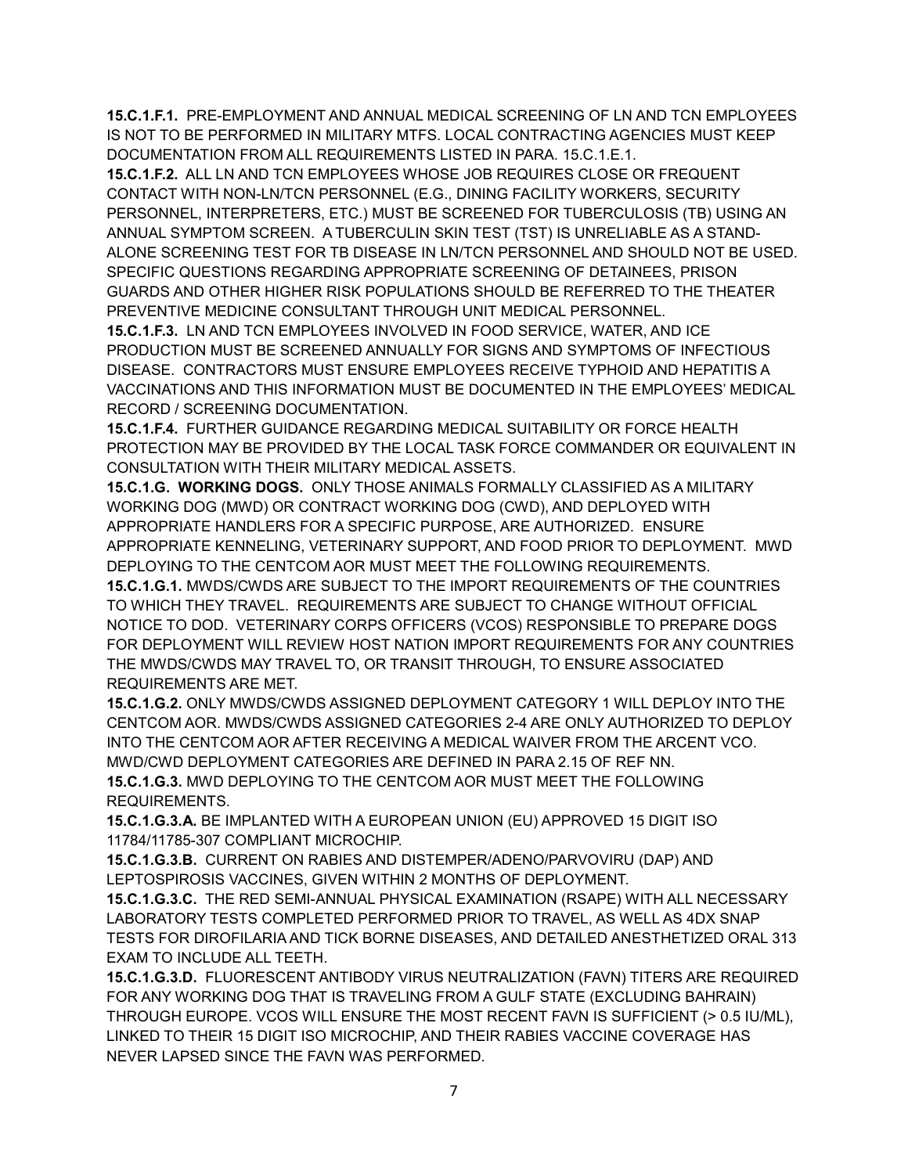**15.C.1.F.1.** PRE-EMPLOYMENT AND ANNUAL MEDICAL SCREENING OF LN AND TCN EMPLOYEES IS NOT TO BE PERFORMED IN MILITARY MTFS. LOCAL CONTRACTING AGENCIES MUST KEEP DOCUMENTATION FROM ALL REQUIREMENTS LISTED IN PARA. 15.C.1.E.1.

**15.C.1.F.2.** ALL LN AND TCN EMPLOYEES WHOSE JOB REQUIRES CLOSE OR FREQUENT CONTACT WITH NON-LN/TCN PERSONNEL (E.G., DINING FACILITY WORKERS, SECURITY PERSONNEL, INTERPRETERS, ETC.) MUST BE SCREENED FOR TUBERCULOSIS (TB) USING AN ANNUAL SYMPTOM SCREEN. A TUBERCULIN SKIN TEST (TST) IS UNRELIABLE AS A STAND-ALONE SCREENING TEST FOR TB DISEASE IN LN/TCN PERSONNEL AND SHOULD NOT BE USED. SPECIFIC QUESTIONS REGARDING APPROPRIATE SCREENING OF DETAINEES, PRISON GUARDS AND OTHER HIGHER RISK POPULATIONS SHOULD BE REFERRED TO THE THEATER PREVENTIVE MEDICINE CONSULTANT THROUGH UNIT MEDICAL PERSONNEL.

**15.C.1.F.3.** LN AND TCN EMPLOYEES INVOLVED IN FOOD SERVICE, WATER, AND ICE PRODUCTION MUST BE SCREENED ANNUALLY FOR SIGNS AND SYMPTOMS OF INFECTIOUS DISEASE. CONTRACTORS MUST ENSURE EMPLOYEES RECEIVE TYPHOID AND HEPATITIS A VACCINATIONS AND THIS INFORMATION MUST BE DOCUMENTED IN THE EMPLOYEES' MEDICAL RECORD / SCREENING DOCUMENTATION.

**15.C.1.F.4.** FURTHER GUIDANCE REGARDING MEDICAL SUITABILITY OR FORCE HEALTH PROTECTION MAY BE PROVIDED BY THE LOCAL TASK FORCE COMMANDER OR EQUIVALENT IN CONSULTATION WITH THEIR MILITARY MEDICAL ASSETS.

**15.C.1.G. WORKING DOGS.** ONLY THOSE ANIMALS FORMALLY CLASSIFIED AS A MILITARY WORKING DOG (MWD) OR CONTRACT WORKING DOG (CWD), AND DEPLOYED WITH APPROPRIATE HANDLERS FOR A SPECIFIC PURPOSE, ARE AUTHORIZED. ENSURE APPROPRIATE KENNELING, VETERINARY SUPPORT, AND FOOD PRIOR TO DEPLOYMENT. MWD DEPLOYING TO THE CENTCOM AOR MUST MEET THE FOLLOWING REQUIREMENTS. **15.C.1.G.1.** MWDS/CWDS ARE SUBJECT TO THE IMPORT REQUIREMENTS OF THE COUNTRIES TO WHICH THEY TRAVEL. REQUIREMENTS ARE SUBJECT TO CHANGE WITHOUT OFFICIAL

NOTICE TO DOD. VETERINARY CORPS OFFICERS (VCOS) RESPONSIBLE TO PREPARE DOGS FOR DEPLOYMENT WILL REVIEW HOST NATION IMPORT REQUIREMENTS FOR ANY COUNTRIES THE MWDS/CWDS MAY TRAVEL TO, OR TRANSIT THROUGH, TO ENSURE ASSOCIATED REQUIREMENTS ARE MET.

**15.C.1.G.2.** ONLY MWDS/CWDS ASSIGNED DEPLOYMENT CATEGORY 1 WILL DEPLOY INTO THE CENTCOM AOR. MWDS/CWDS ASSIGNED CATEGORIES 2-4 ARE ONLY AUTHORIZED TO DEPLOY INTO THE CENTCOM AOR AFTER RECEIVING A MEDICAL WAIVER FROM THE ARCENT VCO. MWD/CWD DEPLOYMENT CATEGORIES ARE DEFINED IN PARA 2.15 OF REF NN. **15.C.1.G.3.** MWD DEPLOYING TO THE CENTCOM AOR MUST MEET THE FOLLOWING REQUIREMENTS.

**15.C.1.G.3.A.** BE IMPLANTED WITH A EUROPEAN UNION (EU) APPROVED 15 DIGIT ISO 11784/11785-307 COMPLIANT MICROCHIP.

**15.C.1.G.3.B.** CURRENT ON RABIES AND DISTEMPER/ADENO/PARVOVIRU (DAP) AND LEPTOSPIROSIS VACCINES, GIVEN WITHIN 2 MONTHS OF DEPLOYMENT.

**15.C.1.G.3.C.** THE RED SEMI-ANNUAL PHYSICAL EXAMINATION (RSAPE) WITH ALL NECESSARY LABORATORY TESTS COMPLETED PERFORMED PRIOR TO TRAVEL, AS WELL AS 4DX SNAP TESTS FOR DIROFILARIA AND TICK BORNE DISEASES, AND DETAILED ANESTHETIZED ORAL 313 EXAM TO INCLUDE ALL TEETH.

**15.C.1.G.3.D.** FLUORESCENT ANTIBODY VIRUS NEUTRALIZATION (FAVN) TITERS ARE REQUIRED FOR ANY WORKING DOG THAT IS TRAVELING FROM A GULF STATE (EXCLUDING BAHRAIN) THROUGH EUROPE. VCOS WILL ENSURE THE MOST RECENT FAVN IS SUFFICIENT (> 0.5 IU/ML), LINKED TO THEIR 15 DIGIT ISO MICROCHIP, AND THEIR RABIES VACCINE COVERAGE HAS NEVER LAPSED SINCE THE FAVN WAS PERFORMED.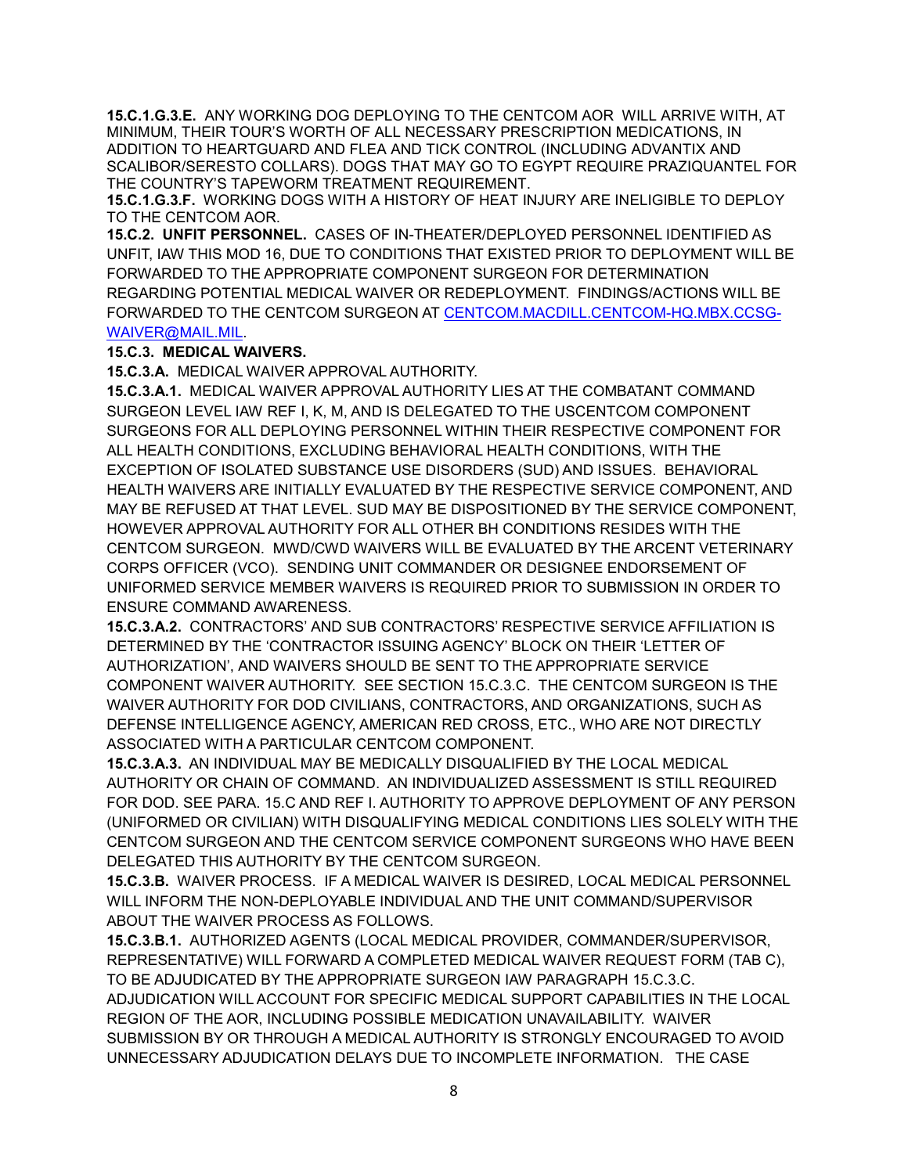**15.C.1.G.3.E.** ANY WORKING DOG DEPLOYING TO THE CENTCOM AOR WILL ARRIVE WITH, AT MINIMUM, THEIR TOUR'S WORTH OF ALL NECESSARY PRESCRIPTION MEDICATIONS, IN ADDITION TO HEARTGUARD AND FLEA AND TICK CONTROL (INCLUDING ADVANTIX AND SCALIBOR/SERESTO COLLARS). DOGS THAT MAY GO TO EGYPT REQUIRE PRAZIQUANTEL FOR THE COUNTRY'S TAPEWORM TREATMENT REQUIREMENT.

**15.C.1.G.3.F.** WORKING DOGS WITH A HISTORY OF HEAT INJURY ARE INELIGIBLE TO DEPLOY TO THE CENTCOM AOR.

**15.C.2. UNFIT PERSONNEL.** CASES OF IN-THEATER/DEPLOYED PERSONNEL IDENTIFIED AS UNFIT, IAW THIS MOD 16, DUE TO CONDITIONS THAT EXISTED PRIOR TO DEPLOYMENT WILL BE FORWARDED TO THE APPROPRIATE COMPONENT SURGEON FOR DETERMINATION REGARDING POTENTIAL MEDICAL WAIVER OR REDEPLOYMENT. FINDINGS/ACTIONS WILL BE FORWARDED TO THE CENTCOM SURGEON AT [CENTCOM.MACDILL.CENTCOM-HQ.MBX.CCSG-](mailto:CENTCOM.MACDILL.CENTCOM-HQ.MBX.CCSG-WAIVER@MAIL.MIL)[WAIVER@MAIL.MIL.](mailto:CENTCOM.MACDILL.CENTCOM-HQ.MBX.CCSG-WAIVER@MAIL.MIL)

#### **15.C.3. MEDICAL WAIVERS.**

**15.C.3.A.** MEDICAL WAIVER APPROVAL AUTHORITY.

**15.C.3.A.1.** MEDICAL WAIVER APPROVAL AUTHORITY LIES AT THE COMBATANT COMMAND SURGEON LEVEL IAW REF I, K, M, AND IS DELEGATED TO THE USCENTCOM COMPONENT SURGEONS FOR ALL DEPLOYING PERSONNEL WITHIN THEIR RESPECTIVE COMPONENT FOR ALL HEALTH CONDITIONS, EXCLUDING BEHAVIORAL HEALTH CONDITIONS, WITH THE EXCEPTION OF ISOLATED SUBSTANCE USE DISORDERS (SUD) AND ISSUES. BEHAVIORAL HEALTH WAIVERS ARE INITIALLY EVALUATED BY THE RESPECTIVE SERVICE COMPONENT, AND MAY BE REFUSED AT THAT LEVEL. SUD MAY BE DISPOSITIONED BY THE SERVICE COMPONENT, HOWEVER APPROVAL AUTHORITY FOR ALL OTHER BH CONDITIONS RESIDES WITH THE CENTCOM SURGEON. MWD/CWD WAIVERS WILL BE EVALUATED BY THE ARCENT VETERINARY CORPS OFFICER (VCO). SENDING UNIT COMMANDER OR DESIGNEE ENDORSEMENT OF UNIFORMED SERVICE MEMBER WAIVERS IS REQUIRED PRIOR TO SUBMISSION IN ORDER TO ENSURE COMMAND AWARENESS.

**15.C.3.A.2.** CONTRACTORS' AND SUB CONTRACTORS' RESPECTIVE SERVICE AFFILIATION IS DETERMINED BY THE 'CONTRACTOR ISSUING AGENCY' BLOCK ON THEIR 'LETTER OF AUTHORIZATION', AND WAIVERS SHOULD BE SENT TO THE APPROPRIATE SERVICE COMPONENT WAIVER AUTHORITY. SEE SECTION 15.C.3.C. THE CENTCOM SURGEON IS THE WAIVER AUTHORITY FOR DOD CIVILIANS, CONTRACTORS, AND ORGANIZATIONS, SUCH AS DEFENSE INTELLIGENCE AGENCY, AMERICAN RED CROSS, ETC., WHO ARE NOT DIRECTLY ASSOCIATED WITH A PARTICULAR CENTCOM COMPONENT.

**15.C.3.A.3.** AN INDIVIDUAL MAY BE MEDICALLY DISQUALIFIED BY THE LOCAL MEDICAL AUTHORITY OR CHAIN OF COMMAND. AN INDIVIDUALIZED ASSESSMENT IS STILL REQUIRED FOR DOD. SEE PARA. 15.C AND REF I. AUTHORITY TO APPROVE DEPLOYMENT OF ANY PERSON (UNIFORMED OR CIVILIAN) WITH DISQUALIFYING MEDICAL CONDITIONS LIES SOLELY WITH THE CENTCOM SURGEON AND THE CENTCOM SERVICE COMPONENT SURGEONS WHO HAVE BEEN DELEGATED THIS AUTHORITY BY THE CENTCOM SURGEON.

**15.C.3.B.** WAIVER PROCESS. IF A MEDICAL WAIVER IS DESIRED, LOCAL MEDICAL PERSONNEL WILL INFORM THE NON-DEPLOYABLE INDIVIDUAL AND THE UNIT COMMAND/SUPERVISOR ABOUT THE WAIVER PROCESS AS FOLLOWS.

**15.C.3.B.1.** AUTHORIZED AGENTS (LOCAL MEDICAL PROVIDER, COMMANDER/SUPERVISOR, REPRESENTATIVE) WILL FORWARD A COMPLETED MEDICAL WAIVER REQUEST FORM (TAB C), TO BE ADJUDICATED BY THE APPROPRIATE SURGEON IAW PARAGRAPH 15.C.3.C. ADJUDICATION WILL ACCOUNT FOR SPECIFIC MEDICAL SUPPORT CAPABILITIES IN THE LOCAL REGION OF THE AOR, INCLUDING POSSIBLE MEDICATION UNAVAILABILITY. WAIVER SUBMISSION BY OR THROUGH A MEDICAL AUTHORITY IS STRONGLY ENCOURAGED TO AVOID UNNECESSARY ADJUDICATION DELAYS DUE TO INCOMPLETE INFORMATION. THE CASE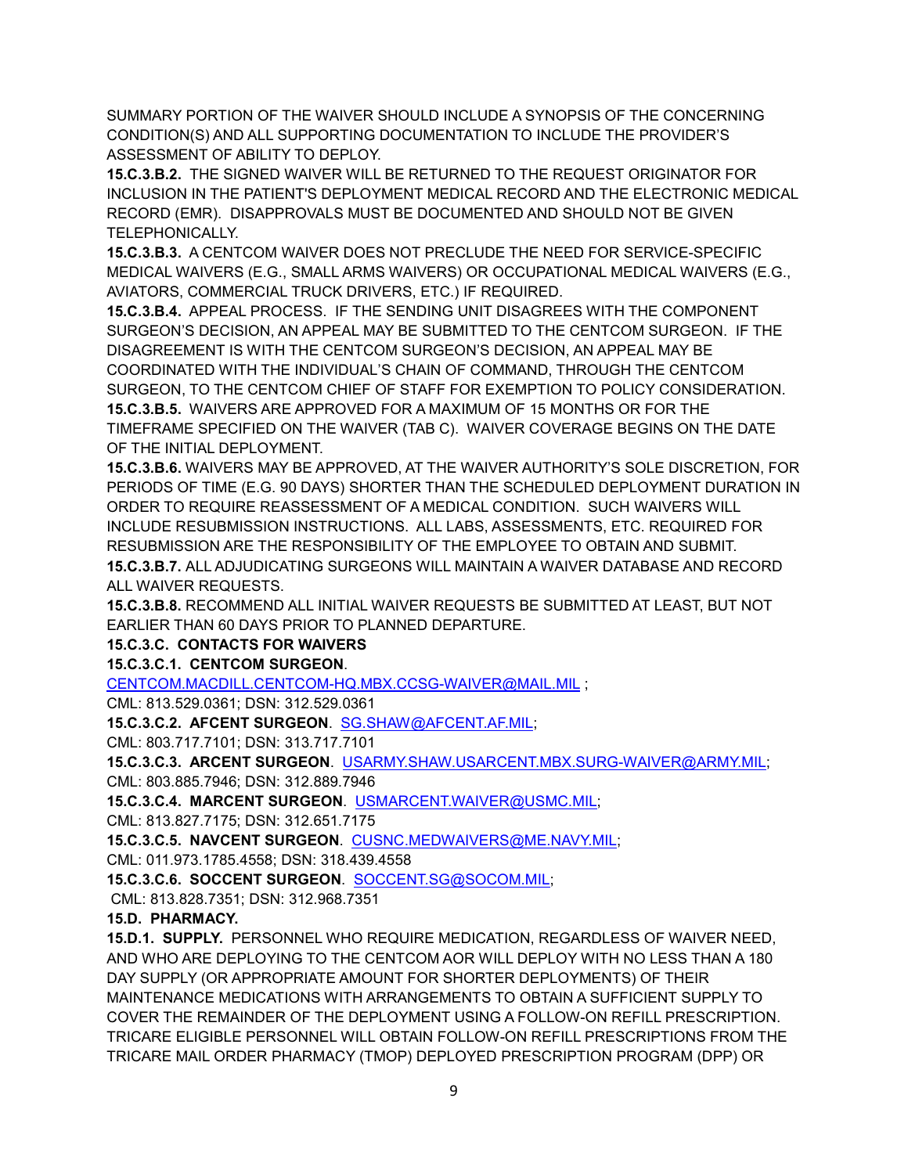SUMMARY PORTION OF THE WAIVER SHOULD INCLUDE A SYNOPSIS OF THE CONCERNING CONDITION(S) AND ALL SUPPORTING DOCUMENTATION TO INCLUDE THE PROVIDER'S ASSESSMENT OF ABILITY TO DEPLOY.

**15.C.3.B.2.** THE SIGNED WAIVER WILL BE RETURNED TO THE REQUEST ORIGINATOR FOR INCLUSION IN THE PATIENT'S DEPLOYMENT MEDICAL RECORD AND THE ELECTRONIC MEDICAL RECORD (EMR). DISAPPROVALS MUST BE DOCUMENTED AND SHOULD NOT BE GIVEN TELEPHONICALLY.

**15.C.3.B.3.** A CENTCOM WAIVER DOES NOT PRECLUDE THE NEED FOR SERVICE-SPECIFIC MEDICAL WAIVERS (E.G., SMALL ARMS WAIVERS) OR OCCUPATIONAL MEDICAL WAIVERS (E.G., AVIATORS, COMMERCIAL TRUCK DRIVERS, ETC.) IF REQUIRED.

**15.C.3.B.4.** APPEAL PROCESS. IF THE SENDING UNIT DISAGREES WITH THE COMPONENT SURGEON'S DECISION, AN APPEAL MAY BE SUBMITTED TO THE CENTCOM SURGEON. IF THE DISAGREEMENT IS WITH THE CENTCOM SURGEON'S DECISION, AN APPEAL MAY BE COORDINATED WITH THE INDIVIDUAL'S CHAIN OF COMMAND, THROUGH THE CENTCOM SURGEON, TO THE CENTCOM CHIEF OF STAFF FOR EXEMPTION TO POLICY CONSIDERATION. **15.C.3.B.5.** WAIVERS ARE APPROVED FOR A MAXIMUM OF 15 MONTHS OR FOR THE TIMEFRAME SPECIFIED ON THE WAIVER (TAB C). WAIVER COVERAGE BEGINS ON THE DATE OF THE INITIAL DEPLOYMENT.

**15.C.3.B.6.** WAIVERS MAY BE APPROVED, AT THE WAIVER AUTHORITY'S SOLE DISCRETION, FOR PERIODS OF TIME (E.G. 90 DAYS) SHORTER THAN THE SCHEDULED DEPLOYMENT DURATION IN ORDER TO REQUIRE REASSESSMENT OF A MEDICAL CONDITION. SUCH WAIVERS WILL INCLUDE RESUBMISSION INSTRUCTIONS. ALL LABS, ASSESSMENTS, ETC. REQUIRED FOR RESUBMISSION ARE THE RESPONSIBILITY OF THE EMPLOYEE TO OBTAIN AND SUBMIT. **15.C.3.B.7.** ALL ADJUDICATING SURGEONS WILL MAINTAIN A WAIVER DATABASE AND RECORD ALL WAIVER REQUESTS.

**15.C.3.B.8.** RECOMMEND ALL INITIAL WAIVER REQUESTS BE SUBMITTED AT LEAST, BUT NOT EARLIER THAN 60 DAYS PRIOR TO PLANNED DEPARTURE.

**15.C.3.C. CONTACTS FOR WAIVERS**

**15.C.3.C.1. CENTCOM SURGEON**.

[CENTCOM.MACDILL.CENTCOM-HQ.MBX.CCSG-WAIVER@MAIL.MIL](mailto:CENTCOM.MACDILL.CENTCOM-HQ.MBX.CCSG-WAIVER@MAIL.MIL) ;

CML: 813.529.0361; DSN: 312.529.0361

**15.C.3.C.2. AFCENT SURGEON**. [SG.SHAW@AFCENT.AF.MIL;](mailto:SG.SHAW@AFCENT.AF.MIL)

CML: 803.717.7101; DSN: 313.717.7101

**15.C.3.C.3. ARCENT SURGEON**. [USARMY.SHAW.USARCENT.MBX.SURG-WAIVER@ARMY.MIL;](mailto:USARMY.SHAW.USARCENT.MBX.SURG-WAIVER@ARMY.MIL) CML: 803.885.7946; DSN: 312.889.7946

**15.C.3.C.4. MARCENT SURGEON**. [USMARCENT.WAIVER@USMC.MIL;](mailto:usmarcent.waiver@usmc.mil)

CML: 813.827.7175; DSN: 312.651.7175

**15.C.3.C.5. NAVCENT SURGEON**. [CUSNC.MEDWAIVERS@ME.NAVY.MIL;](mailto:CUSNC.MEDWAIVERS@ME.NAVY.MIL)

CML: 011.973.1785.4558; DSN: 318.439.4558

**15.C.3.C.6. SOCCENT SURGEON**. [SOCCENT.SG@SOCOM.MIL;](mailto:SOCCENT.SG@SOCOM.MIL)

CML: 813.828.7351; DSN: 312.968.7351

## **15.D. PHARMACY.**

**15.D.1. SUPPLY.** PERSONNEL WHO REQUIRE MEDICATION, REGARDLESS OF WAIVER NEED, AND WHO ARE DEPLOYING TO THE CENTCOM AOR WILL DEPLOY WITH NO LESS THAN A 180 DAY SUPPLY (OR APPROPRIATE AMOUNT FOR SHORTER DEPLOYMENTS) OF THEIR MAINTENANCE MEDICATIONS WITH ARRANGEMENTS TO OBTAIN A SUFFICIENT SUPPLY TO COVER THE REMAINDER OF THE DEPLOYMENT USING A FOLLOW-ON REFILL PRESCRIPTION. TRICARE ELIGIBLE PERSONNEL WILL OBTAIN FOLLOW-ON REFILL PRESCRIPTIONS FROM THE TRICARE MAIL ORDER PHARMACY (TMOP) DEPLOYED PRESCRIPTION PROGRAM (DPP) OR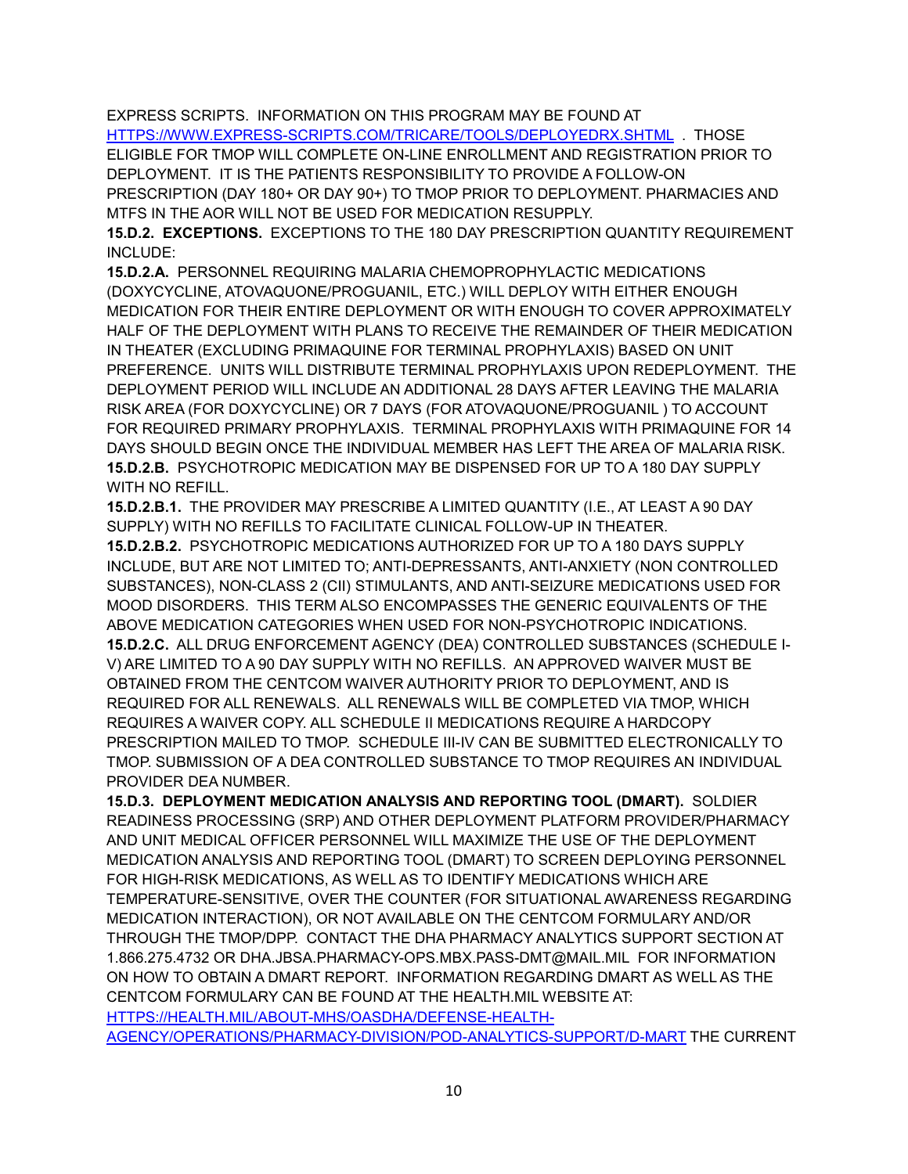EXPRESS SCRIPTS. INFORMATION ON THIS PROGRAM MAY BE FOUND AT [HTTPS://WWW.EXPRESS-SCRIPTS.COM/TRICARE/TOOLS/DEPLOYEDRX.SHTML](https://www.express-scripts.com/TRICARE/tools/deployedrx.shtml) . THOSE

ELIGIBLE FOR TMOP WILL COMPLETE ON-LINE ENROLLMENT AND REGISTRATION PRIOR TO DEPLOYMENT. IT IS THE PATIENTS RESPONSIBILITY TO PROVIDE A FOLLOW-ON PRESCRIPTION (DAY 180+ OR DAY 90+) TO TMOP PRIOR TO DEPLOYMENT. PHARMACIES AND MTFS IN THE AOR WILL NOT BE USED FOR MEDICATION RESUPPLY.

**15.D.2. EXCEPTIONS.** EXCEPTIONS TO THE 180 DAY PRESCRIPTION QUANTITY REQUIREMENT INCLUDE:

**15.D.2.A.** PERSONNEL REQUIRING MALARIA CHEMOPROPHYLACTIC MEDICATIONS (DOXYCYCLINE, ATOVAQUONE/PROGUANIL, ETC.) WILL DEPLOY WITH EITHER ENOUGH MEDICATION FOR THEIR ENTIRE DEPLOYMENT OR WITH ENOUGH TO COVER APPROXIMATELY HALF OF THE DEPLOYMENT WITH PLANS TO RECEIVE THE REMAINDER OF THEIR MEDICATION IN THEATER (EXCLUDING PRIMAQUINE FOR TERMINAL PROPHYLAXIS) BASED ON UNIT PREFERENCE. UNITS WILL DISTRIBUTE TERMINAL PROPHYLAXIS UPON REDEPLOYMENT. THE DEPLOYMENT PERIOD WILL INCLUDE AN ADDITIONAL 28 DAYS AFTER LEAVING THE MALARIA RISK AREA (FOR DOXYCYCLINE) OR 7 DAYS (FOR ATOVAQUONE/PROGUANIL ) TO ACCOUNT FOR REQUIRED PRIMARY PROPHYLAXIS. TERMINAL PROPHYLAXIS WITH PRIMAQUINE FOR 14 DAYS SHOULD BEGIN ONCE THE INDIVIDUAL MEMBER HAS LEFT THE AREA OF MALARIA RISK. **15.D.2.B.** PSYCHOTROPIC MEDICATION MAY BE DISPENSED FOR UP TO A 180 DAY SUPPLY WITH NO REFILL.

**15.D.2.B.1.** THE PROVIDER MAY PRESCRIBE A LIMITED QUANTITY (I.E., AT LEAST A 90 DAY SUPPLY) WITH NO REFILLS TO FACILITATE CLINICAL FOLLOW-UP IN THEATER. **15.D.2.B.2.** PSYCHOTROPIC MEDICATIONS AUTHORIZED FOR UP TO A 180 DAYS SUPPLY INCLUDE, BUT ARE NOT LIMITED TO; ANTI-DEPRESSANTS, ANTI-ANXIETY (NON CONTROLLED SUBSTANCES), NON-CLASS 2 (CII) STIMULANTS, AND ANTI-SEIZURE MEDICATIONS USED FOR MOOD DISORDERS. THIS TERM ALSO ENCOMPASSES THE GENERIC EQUIVALENTS OF THE ABOVE MEDICATION CATEGORIES WHEN USED FOR NON-PSYCHOTROPIC INDICATIONS. **15.D.2.C.** ALL DRUG ENFORCEMENT AGENCY (DEA) CONTROLLED SUBSTANCES (SCHEDULE I-V) ARE LIMITED TO A 90 DAY SUPPLY WITH NO REFILLS. AN APPROVED WAIVER MUST BE OBTAINED FROM THE CENTCOM WAIVER AUTHORITY PRIOR TO DEPLOYMENT, AND IS REQUIRED FOR ALL RENEWALS. ALL RENEWALS WILL BE COMPLETED VIA TMOP, WHICH REQUIRES A WAIVER COPY. ALL SCHEDULE II MEDICATIONS REQUIRE A HARDCOPY PRESCRIPTION MAILED TO TMOP. SCHEDULE III-IV CAN BE SUBMITTED ELECTRONICALLY TO TMOP. SUBMISSION OF A DEA CONTROLLED SUBSTANCE TO TMOP REQUIRES AN INDIVIDUAL PROVIDER DEA NUMBER.

**15.D.3. DEPLOYMENT MEDICATION ANALYSIS AND REPORTING TOOL (DMART).** SOLDIER READINESS PROCESSING (SRP) AND OTHER DEPLOYMENT PLATFORM PROVIDER/PHARMACY AND UNIT MEDICAL OFFICER PERSONNEL WILL MAXIMIZE THE USE OF THE DEPLOYMENT MEDICATION ANALYSIS AND REPORTING TOOL (DMART) TO SCREEN DEPLOYING PERSONNEL FOR HIGH-RISK MEDICATIONS, AS WELL AS TO IDENTIFY MEDICATIONS WHICH ARE TEMPERATURE-SENSITIVE, OVER THE COUNTER (FOR SITUATIONAL AWARENESS REGARDING MEDICATION INTERACTION), OR NOT AVAILABLE ON THE CENTCOM FORMULARY AND/OR THROUGH THE TMOP/DPP. CONTACT THE DHA PHARMACY ANALYTICS SUPPORT SECTION AT 1.866.275.4732 OR DHA.JBSA.PHARMACY-OPS.MBX.PASS-DMT@MAIL.MIL FOR INFORMATION ON HOW TO OBTAIN A DMART REPORT. INFORMATION REGARDING DMART AS WELL AS THE CENTCOM FORMULARY CAN BE FOUND AT THE HEALTH.MIL WEBSITE AT: [HTTPS://HEALTH.MIL/ABOUT-MHS/OASDHA/DEFENSE-HEALTH-](https://health.mil/About-MHS/OASDHA/Defense-Health-Agency/Operations/Pharmacy-Division/POD-Analytics-Support/D-MART)

[AGENCY/OPERATIONS/PHARMACY-DIVISION/POD-ANALYTICS-SUPPORT/D-MART](https://health.mil/About-MHS/OASDHA/Defense-Health-Agency/Operations/Pharmacy-Division/POD-Analytics-Support/D-MART) THE CURRENT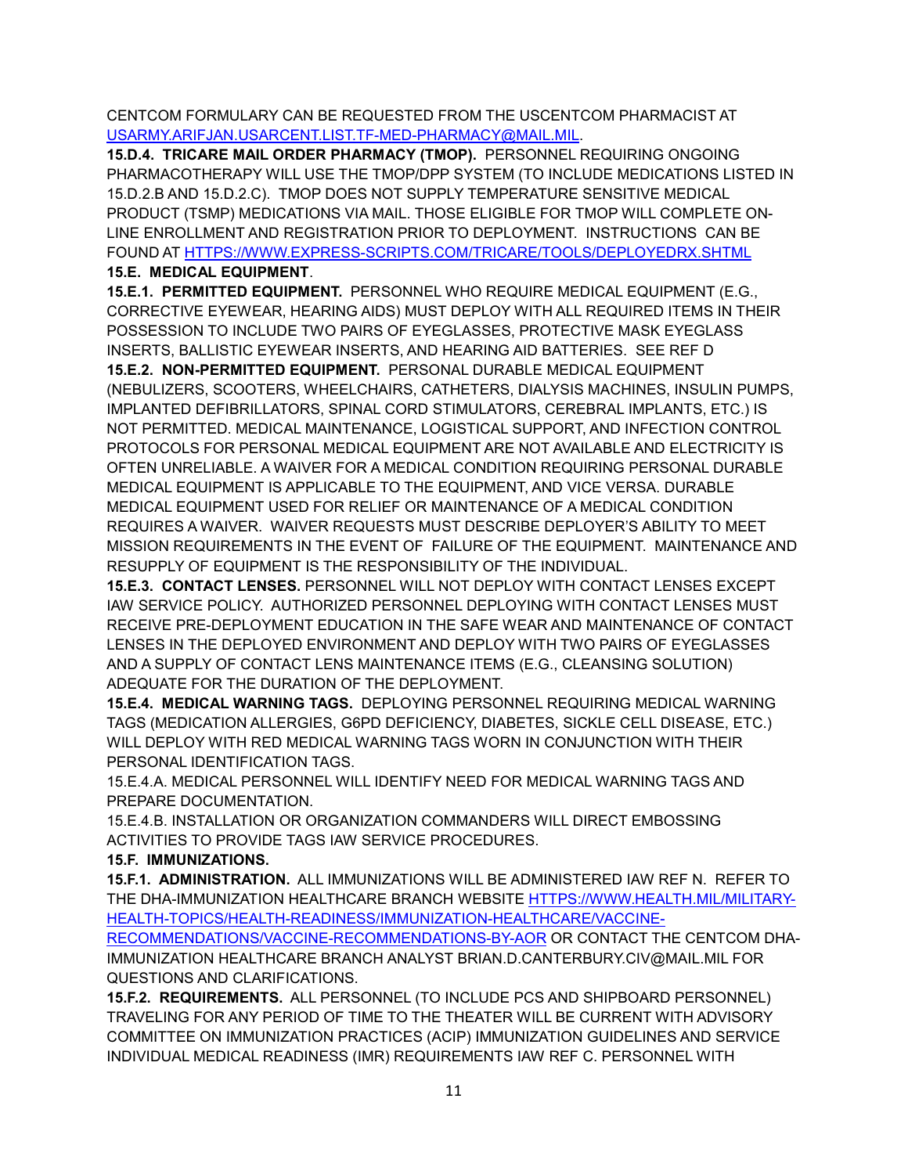CENTCOM FORMULARY CAN BE REQUESTED FROM THE USCENTCOM PHARMACIST AT [USARMY.ARIFJAN.USARCENT.LIST.TF-MED-PHARMACY@MAIL.MIL.](mailto:USARMY.ARIFJAN.USARCENT.LIST.TF-MED-PHARMACY@MAIL.MIL)

**15.D.4. TRICARE MAIL ORDER PHARMACY (TMOP).** PERSONNEL REQUIRING ONGOING PHARMACOTHERAPY WILL USE THE TMOP/DPP SYSTEM (TO INCLUDE MEDICATIONS LISTED IN 15.D.2.B AND 15.D.2.C). TMOP DOES NOT SUPPLY TEMPERATURE SENSITIVE MEDICAL PRODUCT (TSMP) MEDICATIONS VIA MAIL. THOSE ELIGIBLE FOR TMOP WILL COMPLETE ON-LINE ENROLLMENT AND REGISTRATION PRIOR TO DEPLOYMENT. INSTRUCTIONS CAN BE FOUND AT [HTTPS://WWW.EXPRESS-SCRIPTS.COM/TRICARE/TOOLS/DEPLOYEDRX.SHTML](https://www.express-scripts.com/TRICARE/tools/deployedrx.shtml) **15.E. MEDICAL EQUIPMENT**.

**15.E.1. PERMITTED EQUIPMENT.** PERSONNEL WHO REQUIRE MEDICAL EQUIPMENT (E.G., CORRECTIVE EYEWEAR, HEARING AIDS) MUST DEPLOY WITH ALL REQUIRED ITEMS IN THEIR POSSESSION TO INCLUDE TWO PAIRS OF EYEGLASSES, PROTECTIVE MASK EYEGLASS INSERTS, BALLISTIC EYEWEAR INSERTS, AND HEARING AID BATTERIES. SEE REF D

**15.E.2. NON-PERMITTED EQUIPMENT.** PERSONAL DURABLE MEDICAL EQUIPMENT (NEBULIZERS, SCOOTERS, WHEELCHAIRS, CATHETERS, DIALYSIS MACHINES, INSULIN PUMPS, IMPLANTED DEFIBRILLATORS, SPINAL CORD STIMULATORS, CEREBRAL IMPLANTS, ETC.) IS NOT PERMITTED. MEDICAL MAINTENANCE, LOGISTICAL SUPPORT, AND INFECTION CONTROL PROTOCOLS FOR PERSONAL MEDICAL EQUIPMENT ARE NOT AVAILABLE AND ELECTRICITY IS OFTEN UNRELIABLE. A WAIVER FOR A MEDICAL CONDITION REQUIRING PERSONAL DURABLE MEDICAL EQUIPMENT IS APPLICABLE TO THE EQUIPMENT, AND VICE VERSA. DURABLE MEDICAL EQUIPMENT USED FOR RELIEF OR MAINTENANCE OF A MEDICAL CONDITION REQUIRES A WAIVER. WAIVER REQUESTS MUST DESCRIBE DEPLOYER'S ABILITY TO MEET MISSION REQUIREMENTS IN THE EVENT OF FAILURE OF THE EQUIPMENT. MAINTENANCE AND RESUPPLY OF EQUIPMENT IS THE RESPONSIBILITY OF THE INDIVIDUAL.

**15.E.3. CONTACT LENSES.** PERSONNEL WILL NOT DEPLOY WITH CONTACT LENSES EXCEPT IAW SERVICE POLICY. AUTHORIZED PERSONNEL DEPLOYING WITH CONTACT LENSES MUST RECEIVE PRE-DEPLOYMENT EDUCATION IN THE SAFE WEAR AND MAINTENANCE OF CONTACT LENSES IN THE DEPLOYED ENVIRONMENT AND DEPLOY WITH TWO PAIRS OF EYEGLASSES AND A SUPPLY OF CONTACT LENS MAINTENANCE ITEMS (E.G., CLEANSING SOLUTION) ADEQUATE FOR THE DURATION OF THE DEPLOYMENT.

**15.E.4. MEDICAL WARNING TAGS.** DEPLOYING PERSONNEL REQUIRING MEDICAL WARNING TAGS (MEDICATION ALLERGIES, G6PD DEFICIENCY, DIABETES, SICKLE CELL DISEASE, ETC.) WILL DEPLOY WITH RED MEDICAL WARNING TAGS WORN IN CONJUNCTION WITH THEIR PERSONAL IDENTIFICATION TAGS.

15.E.4.A. MEDICAL PERSONNEL WILL IDENTIFY NEED FOR MEDICAL WARNING TAGS AND PREPARE DOCUMENTATION.

15.E.4.B. INSTALLATION OR ORGANIZATION COMMANDERS WILL DIRECT EMBOSSING ACTIVITIES TO PROVIDE TAGS IAW SERVICE PROCEDURES.

#### **15.F. IMMUNIZATIONS.**

**15.F.1. ADMINISTRATION.** ALL IMMUNIZATIONS WILL BE ADMINISTERED IAW REF N. REFER TO THE DHA-IMMUNIZATION HEALTHCARE BRANCH WEBSITE [HTTPS://WWW.HEALTH.MIL/MILITARY-](https://www.health.mil/MILITARY-HEALTH-TOPICS/HEALTH-READINESS/IMMUNIZATION-HEALTHCARE/VACCINE-RECOMMENDATIONS/VACCINE-RECOMMENDATIONS-BY-AOR)[HEALTH-TOPICS/HEALTH-READINESS/IMMUNIZATION-HEALTHCARE/VACCINE-](https://www.health.mil/MILITARY-HEALTH-TOPICS/HEALTH-READINESS/IMMUNIZATION-HEALTHCARE/VACCINE-RECOMMENDATIONS/VACCINE-RECOMMENDATIONS-BY-AOR)

[RECOMMENDATIONS/VACCINE-RECOMMENDATIONS-BY-AOR](https://www.health.mil/MILITARY-HEALTH-TOPICS/HEALTH-READINESS/IMMUNIZATION-HEALTHCARE/VACCINE-RECOMMENDATIONS/VACCINE-RECOMMENDATIONS-BY-AOR) OR CONTACT THE CENTCOM DHA-IMMUNIZATION HEALTHCARE BRANCH ANALYST BRIAN.D.CANTERBURY.CIV@MAIL.MIL FOR QUESTIONS AND CLARIFICATIONS.

**15.F.2. REQUIREMENTS.** ALL PERSONNEL (TO INCLUDE PCS AND SHIPBOARD PERSONNEL) TRAVELING FOR ANY PERIOD OF TIME TO THE THEATER WILL BE CURRENT WITH ADVISORY COMMITTEE ON IMMUNIZATION PRACTICES (ACIP) IMMUNIZATION GUIDELINES AND SERVICE INDIVIDUAL MEDICAL READINESS (IMR) REQUIREMENTS IAW REF C. PERSONNEL WITH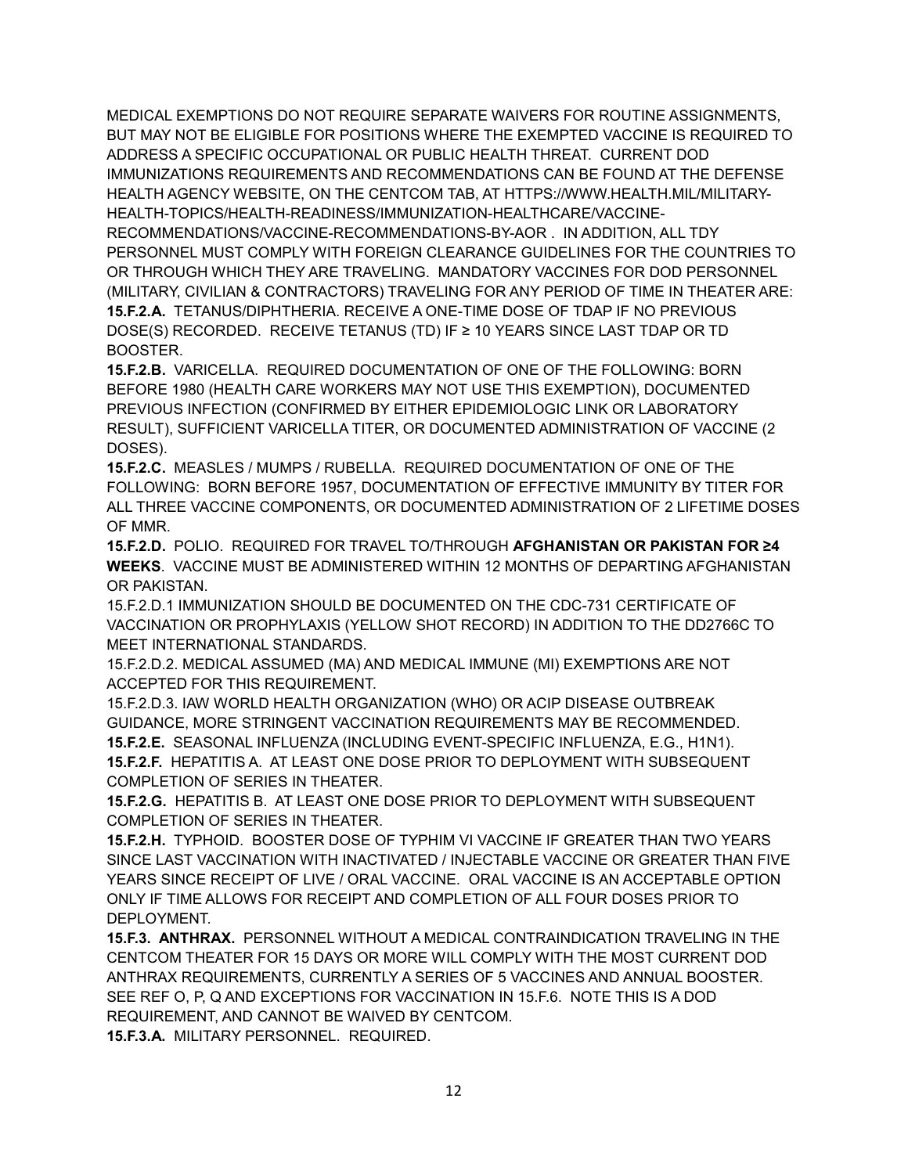MEDICAL EXEMPTIONS DO NOT REQUIRE SEPARATE WAIVERS FOR ROUTINE ASSIGNMENTS, BUT MAY NOT BE ELIGIBLE FOR POSITIONS WHERE THE EXEMPTED VACCINE IS REQUIRED TO ADDRESS A SPECIFIC OCCUPATIONAL OR PUBLIC HEALTH THREAT. CURRENT DOD IMMUNIZATIONS REQUIREMENTS AND RECOMMENDATIONS CAN BE FOUND AT THE DEFENSE HEALTH AGENCY WEBSITE, ON THE CENTCOM TAB, AT HTTPS://WWW.HEALTH.MIL/MILITARY-HEALTH-TOPICS/HEALTH-READINESS/IMMUNIZATION-HEALTHCARE/VACCINE-RECOMMENDATIONS/VACCINE-RECOMMENDATIONS-BY-AOR . IN ADDITION, ALL TDY PERSONNEL MUST COMPLY WITH FOREIGN CLEARANCE GUIDELINES FOR THE COUNTRIES TO OR THROUGH WHICH THEY ARE TRAVELING. MANDATORY VACCINES FOR DOD PERSONNEL (MILITARY, CIVILIAN & CONTRACTORS) TRAVELING FOR ANY PERIOD OF TIME IN THEATER ARE: **15.F.2.A.** TETANUS/DIPHTHERIA. RECEIVE A ONE-TIME DOSE OF TDAP IF NO PREVIOUS DOSE(S) RECORDED. RECEIVE TETANUS (TD) IF ≥ 10 YEARS SINCE LAST TDAP OR TD BOOSTER.

**15.F.2.B.** VARICELLA. REQUIRED DOCUMENTATION OF ONE OF THE FOLLOWING: BORN BEFORE 1980 (HEALTH CARE WORKERS MAY NOT USE THIS EXEMPTION), DOCUMENTED PREVIOUS INFECTION (CONFIRMED BY EITHER EPIDEMIOLOGIC LINK OR LABORATORY RESULT), SUFFICIENT VARICELLA TITER, OR DOCUMENTED ADMINISTRATION OF VACCINE (2 DOSES).

**15.F.2.C.** MEASLES / MUMPS / RUBELLA. REQUIRED DOCUMENTATION OF ONE OF THE FOLLOWING: BORN BEFORE 1957, DOCUMENTATION OF EFFECTIVE IMMUNITY BY TITER FOR ALL THREE VACCINE COMPONENTS, OR DOCUMENTED ADMINISTRATION OF 2 LIFETIME DOSES OF MMR.

**15.F.2.D.** POLIO. REQUIRED FOR TRAVEL TO/THROUGH **AFGHANISTAN OR PAKISTAN FOR ≥4 WEEKS**. VACCINE MUST BE ADMINISTERED WITHIN 12 MONTHS OF DEPARTING AFGHANISTAN OR PAKISTAN.

15.F.2.D.1 IMMUNIZATION SHOULD BE DOCUMENTED ON THE CDC-731 CERTIFICATE OF VACCINATION OR PROPHYLAXIS (YELLOW SHOT RECORD) IN ADDITION TO THE DD2766C TO MEET INTERNATIONAL STANDARDS.

15.F.2.D.2. MEDICAL ASSUMED (MA) AND MEDICAL IMMUNE (MI) EXEMPTIONS ARE NOT ACCEPTED FOR THIS REQUIREMENT.

15.F.2.D.3. IAW WORLD HEALTH ORGANIZATION (WHO) OR ACIP DISEASE OUTBREAK GUIDANCE, MORE STRINGENT VACCINATION REQUIREMENTS MAY BE RECOMMENDED. **15.F.2.E.** SEASONAL INFLUENZA (INCLUDING EVENT-SPECIFIC INFLUENZA, E.G., H1N1). **15.F.2.F.** HEPATITIS A. AT LEAST ONE DOSE PRIOR TO DEPLOYMENT WITH SUBSEQUENT COMPLETION OF SERIES IN THEATER.

**15.F.2.G.** HEPATITIS B. AT LEAST ONE DOSE PRIOR TO DEPLOYMENT WITH SUBSEQUENT COMPLETION OF SERIES IN THEATER.

**15.F.2.H.** TYPHOID. BOOSTER DOSE OF TYPHIM VI VACCINE IF GREATER THAN TWO YEARS SINCE LAST VACCINATION WITH INACTIVATED / INJECTABLE VACCINE OR GREATER THAN FIVE YEARS SINCE RECEIPT OF LIVE / ORAL VACCINE. ORAL VACCINE IS AN ACCEPTABLE OPTION ONLY IF TIME ALLOWS FOR RECEIPT AND COMPLETION OF ALL FOUR DOSES PRIOR TO DEPLOYMENT.

**15.F.3. ANTHRAX.** PERSONNEL WITHOUT A MEDICAL CONTRAINDICATION TRAVELING IN THE CENTCOM THEATER FOR 15 DAYS OR MORE WILL COMPLY WITH THE MOST CURRENT DOD ANTHRAX REQUIREMENTS, CURRENTLY A SERIES OF 5 VACCINES AND ANNUAL BOOSTER. SEE REF O, P, Q AND EXCEPTIONS FOR VACCINATION IN 15.F.6. NOTE THIS IS A DOD REQUIREMENT, AND CANNOT BE WAIVED BY CENTCOM.

**15.F.3.A.** MILITARY PERSONNEL. REQUIRED.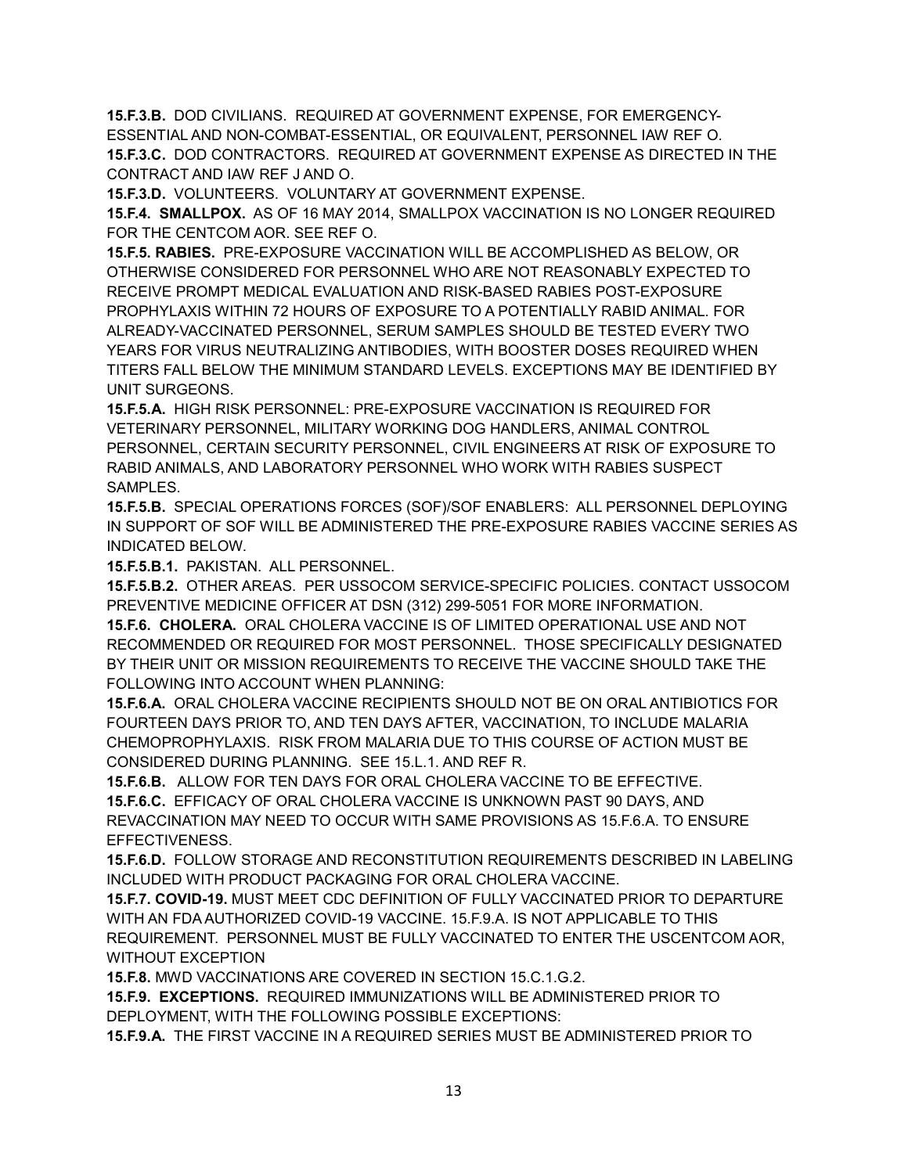**15.F.3.B.** DOD CIVILIANS. REQUIRED AT GOVERNMENT EXPENSE, FOR EMERGENCY-ESSENTIAL AND NON-COMBAT-ESSENTIAL, OR EQUIVALENT, PERSONNEL IAW REF O. **15.F.3.C.** DOD CONTRACTORS. REQUIRED AT GOVERNMENT EXPENSE AS DIRECTED IN THE CONTRACT AND IAW REF J AND O.

**15.F.3.D.** VOLUNTEERS. VOLUNTARY AT GOVERNMENT EXPENSE.

**15.F.4. SMALLPOX.** AS OF 16 MAY 2014, SMALLPOX VACCINATION IS NO LONGER REQUIRED FOR THE CENTCOM AOR. SEE REF O.

**15.F.5. RABIES.** PRE-EXPOSURE VACCINATION WILL BE ACCOMPLISHED AS BELOW, OR OTHERWISE CONSIDERED FOR PERSONNEL WHO ARE NOT REASONABLY EXPECTED TO RECEIVE PROMPT MEDICAL EVALUATION AND RISK-BASED RABIES POST-EXPOSURE PROPHYLAXIS WITHIN 72 HOURS OF EXPOSURE TO A POTENTIALLY RABID ANIMAL. FOR ALREADY-VACCINATED PERSONNEL, SERUM SAMPLES SHOULD BE TESTED EVERY TWO YEARS FOR VIRUS NEUTRALIZING ANTIBODIES, WITH BOOSTER DOSES REQUIRED WHEN TITERS FALL BELOW THE MINIMUM STANDARD LEVELS. EXCEPTIONS MAY BE IDENTIFIED BY UNIT SURGEONS.

**15.F.5.A.** HIGH RISK PERSONNEL: PRE-EXPOSURE VACCINATION IS REQUIRED FOR VETERINARY PERSONNEL, MILITARY WORKING DOG HANDLERS, ANIMAL CONTROL PERSONNEL, CERTAIN SECURITY PERSONNEL, CIVIL ENGINEERS AT RISK OF EXPOSURE TO RABID ANIMALS, AND LABORATORY PERSONNEL WHO WORK WITH RABIES SUSPECT SAMPLES.

**15.F.5.B.** SPECIAL OPERATIONS FORCES (SOF)/SOF ENABLERS: ALL PERSONNEL DEPLOYING IN SUPPORT OF SOF WILL BE ADMINISTERED THE PRE-EXPOSURE RABIES VACCINE SERIES AS INDICATED BELOW.

**15.F.5.B.1.** PAKISTAN. ALL PERSONNEL.

**15.F.5.B.2.** OTHER AREAS. PER USSOCOM SERVICE-SPECIFIC POLICIES. CONTACT USSOCOM PREVENTIVE MEDICINE OFFICER AT DSN (312) 299-5051 FOR MORE INFORMATION.

**15.F.6. CHOLERA.** ORAL CHOLERA VACCINE IS OF LIMITED OPERATIONAL USE AND NOT RECOMMENDED OR REQUIRED FOR MOST PERSONNEL. THOSE SPECIFICALLY DESIGNATED BY THEIR UNIT OR MISSION REQUIREMENTS TO RECEIVE THE VACCINE SHOULD TAKE THE FOLLOWING INTO ACCOUNT WHEN PLANNING:

**15.F.6.A.** ORAL CHOLERA VACCINE RECIPIENTS SHOULD NOT BE ON ORAL ANTIBIOTICS FOR FOURTEEN DAYS PRIOR TO, AND TEN DAYS AFTER, VACCINATION, TO INCLUDE MALARIA CHEMOPROPHYLAXIS. RISK FROM MALARIA DUE TO THIS COURSE OF ACTION MUST BE CONSIDERED DURING PLANNING. SEE 15.L.1. AND REF R.

**15.F.6.B.** ALLOW FOR TEN DAYS FOR ORAL CHOLERA VACCINE TO BE EFFECTIVE. **15.F.6.C.** EFFICACY OF ORAL CHOLERA VACCINE IS UNKNOWN PAST 90 DAYS, AND REVACCINATION MAY NEED TO OCCUR WITH SAME PROVISIONS AS 15.F.6.A. TO ENSURE EFFECTIVENESS.

**15.F.6.D.** FOLLOW STORAGE AND RECONSTITUTION REQUIREMENTS DESCRIBED IN LABELING INCLUDED WITH PRODUCT PACKAGING FOR ORAL CHOLERA VACCINE.

**15.F.7. COVID-19.** MUST MEET CDC DEFINITION OF FULLY VACCINATED PRIOR TO DEPARTURE WITH AN FDA AUTHORIZED COVID-19 VACCINE. 15.F.9.A. IS NOT APPLICABLE TO THIS REQUIREMENT. PERSONNEL MUST BE FULLY VACCINATED TO ENTER THE USCENTCOM AOR, WITHOUT EXCEPTION

**15.F.8.** MWD VACCINATIONS ARE COVERED IN SECTION 15.C.1.G.2.

**15.F.9. EXCEPTIONS.** REQUIRED IMMUNIZATIONS WILL BE ADMINISTERED PRIOR TO DEPLOYMENT, WITH THE FOLLOWING POSSIBLE EXCEPTIONS:

**15.F.9.A.** THE FIRST VACCINE IN A REQUIRED SERIES MUST BE ADMINISTERED PRIOR TO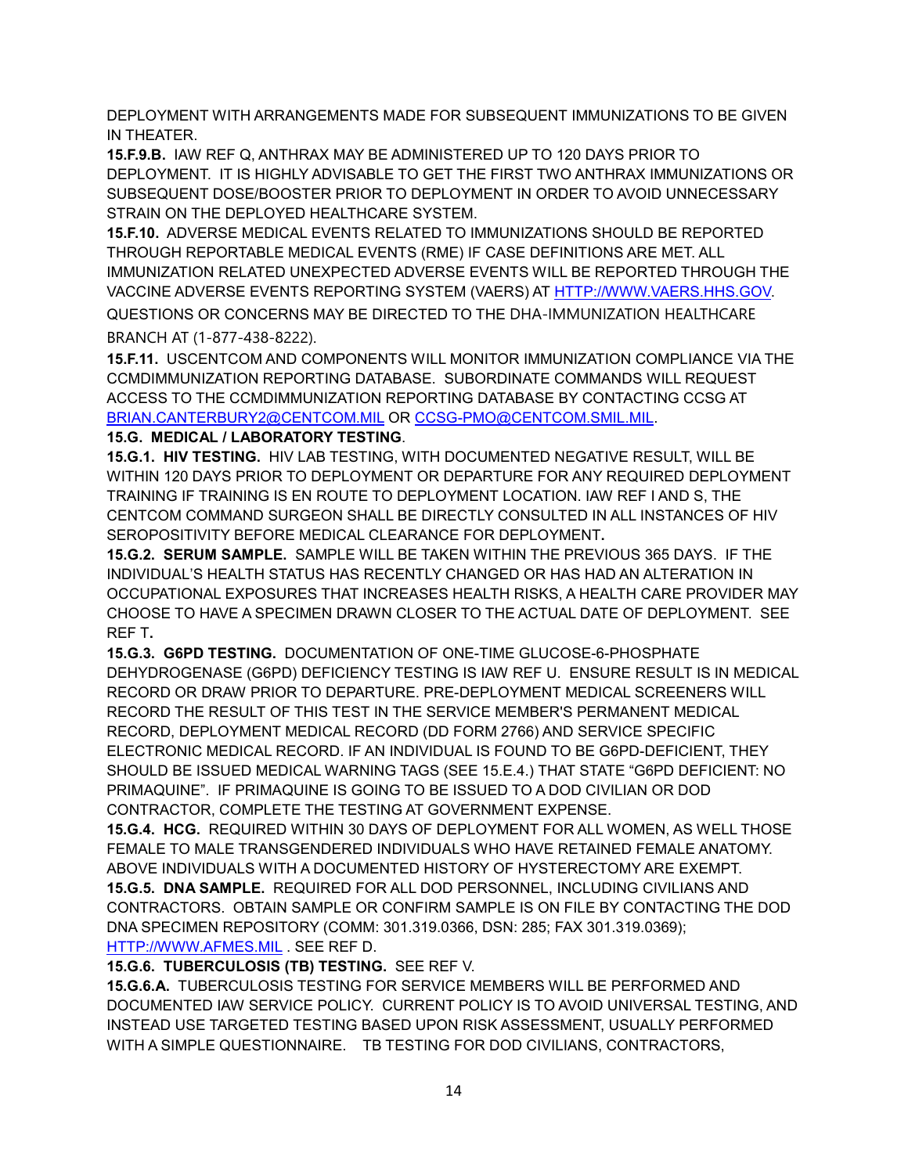DEPLOYMENT WITH ARRANGEMENTS MADE FOR SUBSEQUENT IMMUNIZATIONS TO BE GIVEN IN THEATER.

**15.F.9.B.** IAW REF Q, ANTHRAX MAY BE ADMINISTERED UP TO 120 DAYS PRIOR TO DEPLOYMENT. IT IS HIGHLY ADVISABLE TO GET THE FIRST TWO ANTHRAX IMMUNIZATIONS OR SUBSEQUENT DOSE/BOOSTER PRIOR TO DEPLOYMENT IN ORDER TO AVOID UNNECESSARY STRAIN ON THE DEPLOYED HEALTHCARE SYSTEM.

**15.F.10.** ADVERSE MEDICAL EVENTS RELATED TO IMMUNIZATIONS SHOULD BE REPORTED THROUGH REPORTABLE MEDICAL EVENTS (RME) IF CASE DEFINITIONS ARE MET. ALL IMMUNIZATION RELATED UNEXPECTED ADVERSE EVENTS WILL BE REPORTED THROUGH THE VACCINE ADVERSE EVENTS REPORTING SYSTEM (VAERS) AT [HTTP://WWW.VAERS.HHS.GOV.](http://www.vaers.hhs.gov/) QUESTIONS OR CONCERNS MAY BE DIRECTED TO THE DHA-IMMUNIZATION HEALTHCARE BRANCH AT (1-877-438-8222).

**15.F.11.** USCENTCOM AND COMPONENTS WILL MONITOR IMMUNIZATION COMPLIANCE VIA THE CCMDIMMUNIZATION REPORTING DATABASE. SUBORDINATE COMMANDS WILL REQUEST ACCESS TO THE CCMDIMMUNIZATION REPORTING DATABASE BY CONTACTING CCSG AT [BRIAN.CANTERBURY2@CENTCOM.MIL](mailto:BRIAN.CANTERBURY2@CENTCOM.MIL) OR [CCSG-PMO@CENTCOM.SMIL.MIL.](mailto:CCSG-PMO@CENTCOM.SMIL.MIL)

### **15.G. MEDICAL / LABORATORY TESTING**.

**15.G.1. HIV TESTING.** HIV LAB TESTING, WITH DOCUMENTED NEGATIVE RESULT, WILL BE WITHIN 120 DAYS PRIOR TO DEPLOYMENT OR DEPARTURE FOR ANY REQUIRED DEPLOYMENT TRAINING IF TRAINING IS EN ROUTE TO DEPLOYMENT LOCATION. IAW REF I AND S, THE CENTCOM COMMAND SURGEON SHALL BE DIRECTLY CONSULTED IN ALL INSTANCES OF HIV SEROPOSITIVITY BEFORE MEDICAL CLEARANCE FOR DEPLOYMENT**.** 

**15.G.2. SERUM SAMPLE.** SAMPLE WILL BE TAKEN WITHIN THE PREVIOUS 365 DAYS. IF THE INDIVIDUAL'S HEALTH STATUS HAS RECENTLY CHANGED OR HAS HAD AN ALTERATION IN OCCUPATIONAL EXPOSURES THAT INCREASES HEALTH RISKS, A HEALTH CARE PROVIDER MAY CHOOSE TO HAVE A SPECIMEN DRAWN CLOSER TO THE ACTUAL DATE OF DEPLOYMENT. SEE REF T**.**

**15.G.3. G6PD TESTING.** DOCUMENTATION OF ONE-TIME GLUCOSE-6-PHOSPHATE DEHYDROGENASE (G6PD) DEFICIENCY TESTING IS IAW REF U. ENSURE RESULT IS IN MEDICAL RECORD OR DRAW PRIOR TO DEPARTURE. PRE-DEPLOYMENT MEDICAL SCREENERS WILL RECORD THE RESULT OF THIS TEST IN THE SERVICE MEMBER'S PERMANENT MEDICAL RECORD, DEPLOYMENT MEDICAL RECORD (DD FORM 2766) AND SERVICE SPECIFIC ELECTRONIC MEDICAL RECORD. IF AN INDIVIDUAL IS FOUND TO BE G6PD-DEFICIENT, THEY SHOULD BE ISSUED MEDICAL WARNING TAGS (SEE 15.E.4.) THAT STATE "G6PD DEFICIENT: NO PRIMAQUINE". IF PRIMAQUINE IS GOING TO BE ISSUED TO A DOD CIVILIAN OR DOD CONTRACTOR, COMPLETE THE TESTING AT GOVERNMENT EXPENSE.

**15.G.4. HCG.** REQUIRED WITHIN 30 DAYS OF DEPLOYMENT FOR ALL WOMEN, AS WELL THOSE FEMALE TO MALE TRANSGENDERED INDIVIDUALS WHO HAVE RETAINED FEMALE ANATOMY. ABOVE INDIVIDUALS WITH A DOCUMENTED HISTORY OF HYSTERECTOMY ARE EXEMPT. **15.G.5. DNA SAMPLE.** REQUIRED FOR ALL DOD PERSONNEL, INCLUDING CIVILIANS AND CONTRACTORS. OBTAIN SAMPLE OR CONFIRM SAMPLE IS ON FILE BY CONTACTING THE DOD DNA SPECIMEN REPOSITORY (COMM: 301.319.0366, DSN: 285; FAX 301.319.0369);

[HTTP://WWW.AFMES.MIL](http://www.afmes.mil/) . SEE REF D.

## **15.G.6. TUBERCULOSIS (TB) TESTING.** SEE REF V.

**15.G.6.A.** TUBERCULOSIS TESTING FOR SERVICE MEMBERS WILL BE PERFORMED AND DOCUMENTED IAW SERVICE POLICY. CURRENT POLICY IS TO AVOID UNIVERSAL TESTING, AND INSTEAD USE TARGETED TESTING BASED UPON RISK ASSESSMENT, USUALLY PERFORMED WITH A SIMPLE QUESTIONNAIRE. TB TESTING FOR DOD CIVILIANS, CONTRACTORS,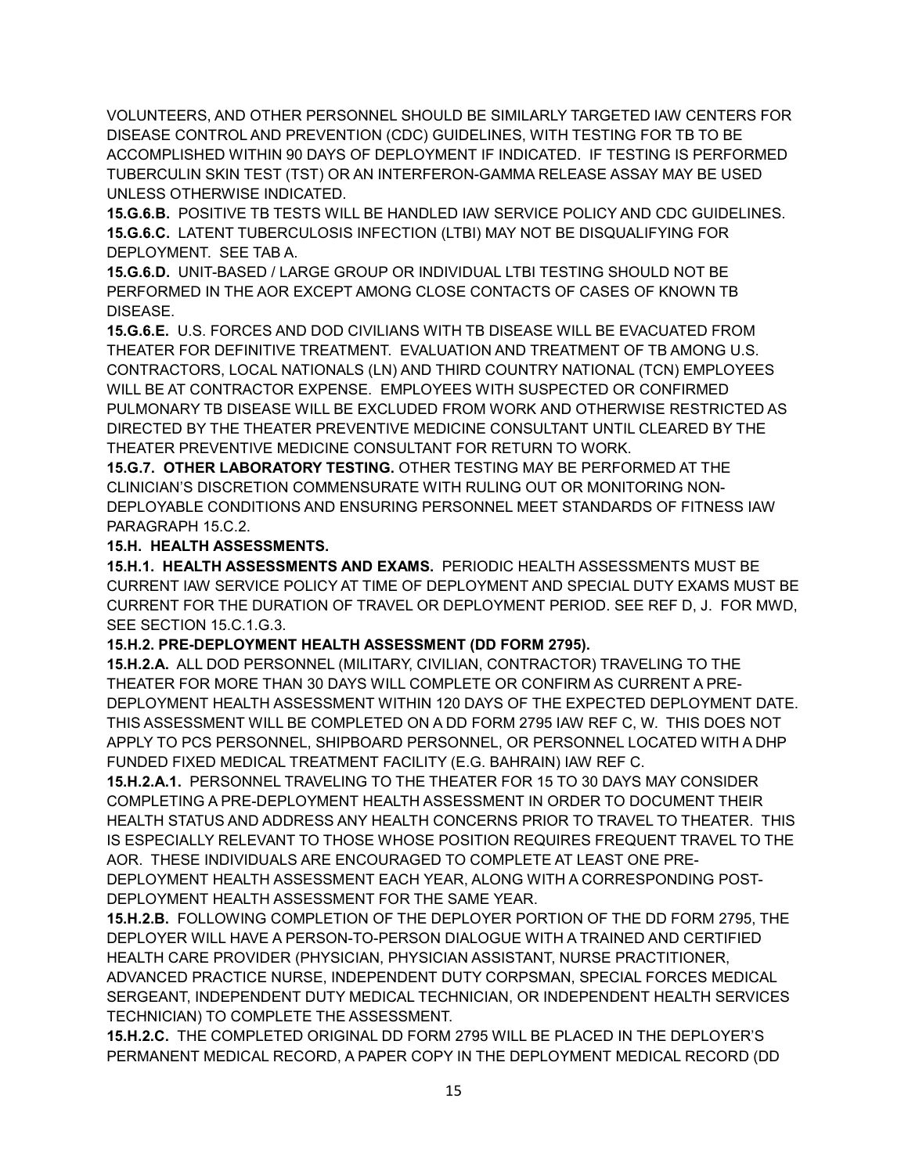VOLUNTEERS, AND OTHER PERSONNEL SHOULD BE SIMILARLY TARGETED IAW CENTERS FOR DISEASE CONTROL AND PREVENTION (CDC) GUIDELINES, WITH TESTING FOR TB TO BE ACCOMPLISHED WITHIN 90 DAYS OF DEPLOYMENT IF INDICATED. IF TESTING IS PERFORMED TUBERCULIN SKIN TEST (TST) OR AN INTERFERON-GAMMA RELEASE ASSAY MAY BE USED UNLESS OTHERWISE INDICATED.

**15.G.6.B.** POSITIVE TB TESTS WILL BE HANDLED IAW SERVICE POLICY AND CDC GUIDELINES. **15.G.6.C.** LATENT TUBERCULOSIS INFECTION (LTBI) MAY NOT BE DISQUALIFYING FOR DEPLOYMENT. SEE TAB A.

**15.G.6.D.** UNIT-BASED / LARGE GROUP OR INDIVIDUAL LTBI TESTING SHOULD NOT BE PERFORMED IN THE AOR EXCEPT AMONG CLOSE CONTACTS OF CASES OF KNOWN TB DISEASE.

**15.G.6.E.** U.S. FORCES AND DOD CIVILIANS WITH TB DISEASE WILL BE EVACUATED FROM THEATER FOR DEFINITIVE TREATMENT. EVALUATION AND TREATMENT OF TB AMONG U.S. CONTRACTORS, LOCAL NATIONALS (LN) AND THIRD COUNTRY NATIONAL (TCN) EMPLOYEES WILL BE AT CONTRACTOR EXPENSE. EMPLOYEES WITH SUSPECTED OR CONFIRMED PULMONARY TB DISEASE WILL BE EXCLUDED FROM WORK AND OTHERWISE RESTRICTED AS DIRECTED BY THE THEATER PREVENTIVE MEDICINE CONSULTANT UNTIL CLEARED BY THE THEATER PREVENTIVE MEDICINE CONSULTANT FOR RETURN TO WORK.

**15.G.7. OTHER LABORATORY TESTING.** OTHER TESTING MAY BE PERFORMED AT THE CLINICIAN'S DISCRETION COMMENSURATE WITH RULING OUT OR MONITORING NON-DEPLOYABLE CONDITIONS AND ENSURING PERSONNEL MEET STANDARDS OF FITNESS IAW PARAGRAPH 15.C.2.

### **15.H. HEALTH ASSESSMENTS.**

**15.H.1. HEALTH ASSESSMENTS AND EXAMS.** PERIODIC HEALTH ASSESSMENTS MUST BE CURRENT IAW SERVICE POLICY AT TIME OF DEPLOYMENT AND SPECIAL DUTY EXAMS MUST BE CURRENT FOR THE DURATION OF TRAVEL OR DEPLOYMENT PERIOD. SEE REF D, J. FOR MWD, SEE SECTION 15.C.1.G.3.

## **15.H.2. PRE-DEPLOYMENT HEALTH ASSESSMENT (DD FORM 2795).**

**15.H.2.A.** ALL DOD PERSONNEL (MILITARY, CIVILIAN, CONTRACTOR) TRAVELING TO THE THEATER FOR MORE THAN 30 DAYS WILL COMPLETE OR CONFIRM AS CURRENT A PRE-DEPLOYMENT HEALTH ASSESSMENT WITHIN 120 DAYS OF THE EXPECTED DEPLOYMENT DATE. THIS ASSESSMENT WILL BE COMPLETED ON A DD FORM 2795 IAW REF C, W. THIS DOES NOT APPLY TO PCS PERSONNEL, SHIPBOARD PERSONNEL, OR PERSONNEL LOCATED WITH A DHP FUNDED FIXED MEDICAL TREATMENT FACILITY (E.G. BAHRAIN) IAW REF C.

**15.H.2.A.1.** PERSONNEL TRAVELING TO THE THEATER FOR 15 TO 30 DAYS MAY CONSIDER COMPLETING A PRE-DEPLOYMENT HEALTH ASSESSMENT IN ORDER TO DOCUMENT THEIR HEALTH STATUS AND ADDRESS ANY HEALTH CONCERNS PRIOR TO TRAVEL TO THEATER. THIS IS ESPECIALLY RELEVANT TO THOSE WHOSE POSITION REQUIRES FREQUENT TRAVEL TO THE AOR. THESE INDIVIDUALS ARE ENCOURAGED TO COMPLETE AT LEAST ONE PRE-

DEPLOYMENT HEALTH ASSESSMENT EACH YEAR, ALONG WITH A CORRESPONDING POST-DEPLOYMENT HEALTH ASSESSMENT FOR THE SAME YEAR.

**15.H.2.B.** FOLLOWING COMPLETION OF THE DEPLOYER PORTION OF THE DD FORM 2795, THE DEPLOYER WILL HAVE A PERSON-TO-PERSON DIALOGUE WITH A TRAINED AND CERTIFIED HEALTH CARE PROVIDER (PHYSICIAN, PHYSICIAN ASSISTANT, NURSE PRACTITIONER, ADVANCED PRACTICE NURSE, INDEPENDENT DUTY CORPSMAN, SPECIAL FORCES MEDICAL SERGEANT, INDEPENDENT DUTY MEDICAL TECHNICIAN, OR INDEPENDENT HEALTH SERVICES TECHNICIAN) TO COMPLETE THE ASSESSMENT.

**15.H.2.C.** THE COMPLETED ORIGINAL DD FORM 2795 WILL BE PLACED IN THE DEPLOYER'S PERMANENT MEDICAL RECORD, A PAPER COPY IN THE DEPLOYMENT MEDICAL RECORD (DD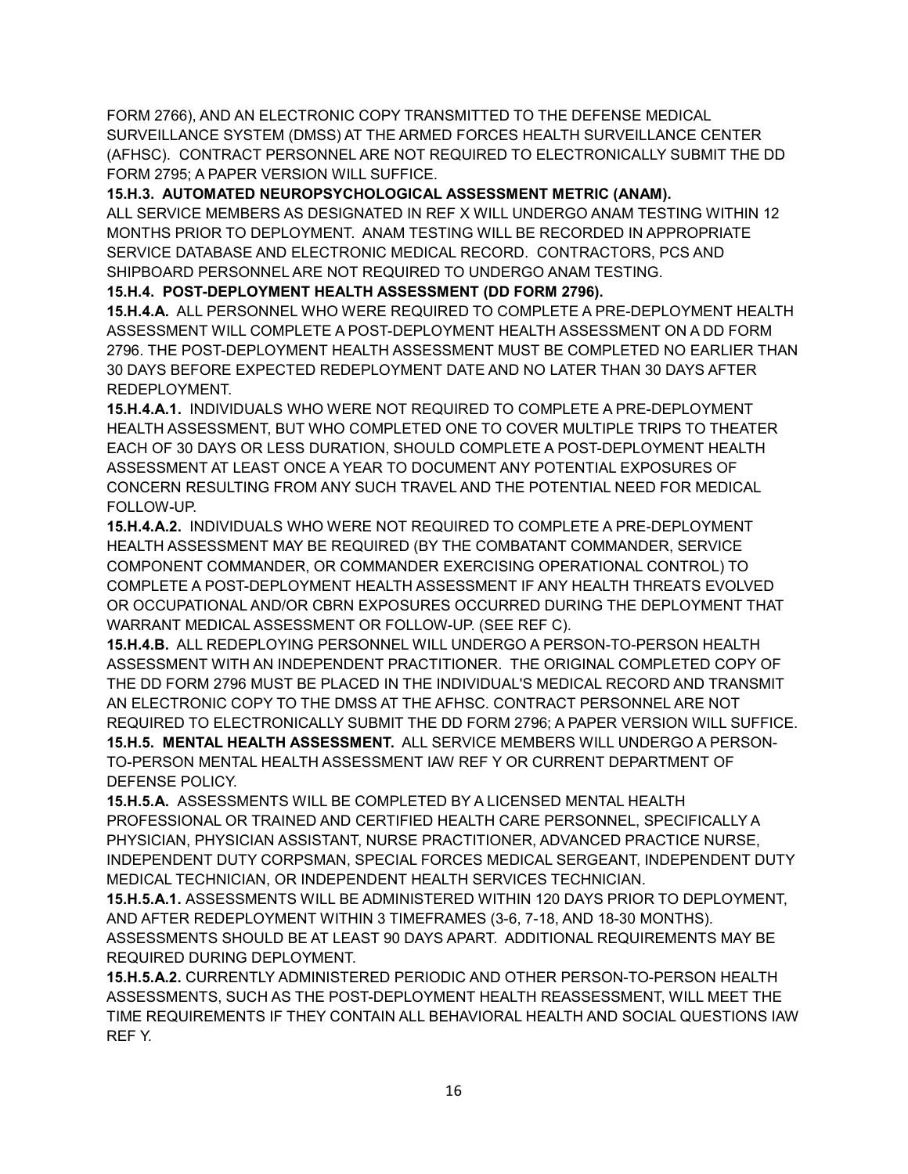FORM 2766), AND AN ELECTRONIC COPY TRANSMITTED TO THE DEFENSE MEDICAL SURVEILLANCE SYSTEM (DMSS) AT THE ARMED FORCES HEALTH SURVEILLANCE CENTER (AFHSC). CONTRACT PERSONNEL ARE NOT REQUIRED TO ELECTRONICALLY SUBMIT THE DD FORM 2795; A PAPER VERSION WILL SUFFICE.

**15.H.3. AUTOMATED NEUROPSYCHOLOGICAL ASSESSMENT METRIC (ANAM).** 

ALL SERVICE MEMBERS AS DESIGNATED IN REF X WILL UNDERGO ANAM TESTING WITHIN 12 MONTHS PRIOR TO DEPLOYMENT. ANAM TESTING WILL BE RECORDED IN APPROPRIATE SERVICE DATABASE AND ELECTRONIC MEDICAL RECORD. CONTRACTORS, PCS AND SHIPBOARD PERSONNEL ARE NOT REQUIRED TO UNDERGO ANAM TESTING.

**15.H.4. POST-DEPLOYMENT HEALTH ASSESSMENT (DD FORM 2796).**

**15.H.4.A.** ALL PERSONNEL WHO WERE REQUIRED TO COMPLETE A PRE-DEPLOYMENT HEALTH ASSESSMENT WILL COMPLETE A POST-DEPLOYMENT HEALTH ASSESSMENT ON A DD FORM 2796. THE POST-DEPLOYMENT HEALTH ASSESSMENT MUST BE COMPLETED NO EARLIER THAN 30 DAYS BEFORE EXPECTED REDEPLOYMENT DATE AND NO LATER THAN 30 DAYS AFTER REDEPLOYMENT.

**15.H.4.A.1.** INDIVIDUALS WHO WERE NOT REQUIRED TO COMPLETE A PRE-DEPLOYMENT HEALTH ASSESSMENT, BUT WHO COMPLETED ONE TO COVER MULTIPLE TRIPS TO THEATER EACH OF 30 DAYS OR LESS DURATION, SHOULD COMPLETE A POST-DEPLOYMENT HEALTH ASSESSMENT AT LEAST ONCE A YEAR TO DOCUMENT ANY POTENTIAL EXPOSURES OF CONCERN RESULTING FROM ANY SUCH TRAVEL AND THE POTENTIAL NEED FOR MEDICAL FOLLOW-UP.

**15.H.4.A.2.** INDIVIDUALS WHO WERE NOT REQUIRED TO COMPLETE A PRE-DEPLOYMENT HEALTH ASSESSMENT MAY BE REQUIRED (BY THE COMBATANT COMMANDER, SERVICE COMPONENT COMMANDER, OR COMMANDER EXERCISING OPERATIONAL CONTROL) TO COMPLETE A POST-DEPLOYMENT HEALTH ASSESSMENT IF ANY HEALTH THREATS EVOLVED OR OCCUPATIONAL AND/OR CBRN EXPOSURES OCCURRED DURING THE DEPLOYMENT THAT WARRANT MEDICAL ASSESSMENT OR FOLLOW-UP. (SEE REF C).

**15.H.4.B.** ALL REDEPLOYING PERSONNEL WILL UNDERGO A PERSON-TO-PERSON HEALTH ASSESSMENT WITH AN INDEPENDENT PRACTITIONER. THE ORIGINAL COMPLETED COPY OF THE DD FORM 2796 MUST BE PLACED IN THE INDIVIDUAL'S MEDICAL RECORD AND TRANSMIT AN ELECTRONIC COPY TO THE DMSS AT THE AFHSC. CONTRACT PERSONNEL ARE NOT REQUIRED TO ELECTRONICALLY SUBMIT THE DD FORM 2796; A PAPER VERSION WILL SUFFICE. **15.H.5. MENTAL HEALTH ASSESSMENT.** ALL SERVICE MEMBERS WILL UNDERGO A PERSON-TO-PERSON MENTAL HEALTH ASSESSMENT IAW REF Y OR CURRENT DEPARTMENT OF DEFENSE POLICY.

**15.H.5.A.** ASSESSMENTS WILL BE COMPLETED BY A LICENSED MENTAL HEALTH PROFESSIONAL OR TRAINED AND CERTIFIED HEALTH CARE PERSONNEL, SPECIFICALLY A PHYSICIAN, PHYSICIAN ASSISTANT, NURSE PRACTITIONER, ADVANCED PRACTICE NURSE, INDEPENDENT DUTY CORPSMAN, SPECIAL FORCES MEDICAL SERGEANT, INDEPENDENT DUTY MEDICAL TECHNICIAN, OR INDEPENDENT HEALTH SERVICES TECHNICIAN.

**15.H.5.A.1.** ASSESSMENTS WILL BE ADMINISTERED WITHIN 120 DAYS PRIOR TO DEPLOYMENT, AND AFTER REDEPLOYMENT WITHIN 3 TIMEFRAMES (3-6, 7-18, AND 18-30 MONTHS). ASSESSMENTS SHOULD BE AT LEAST 90 DAYS APART. ADDITIONAL REQUIREMENTS MAY BE REQUIRED DURING DEPLOYMENT.

**15.H.5.A.2.** CURRENTLY ADMINISTERED PERIODIC AND OTHER PERSON-TO-PERSON HEALTH ASSESSMENTS, SUCH AS THE POST-DEPLOYMENT HEALTH REASSESSMENT, WILL MEET THE TIME REQUIREMENTS IF THEY CONTAIN ALL BEHAVIORAL HEALTH AND SOCIAL QUESTIONS IAW REF Y.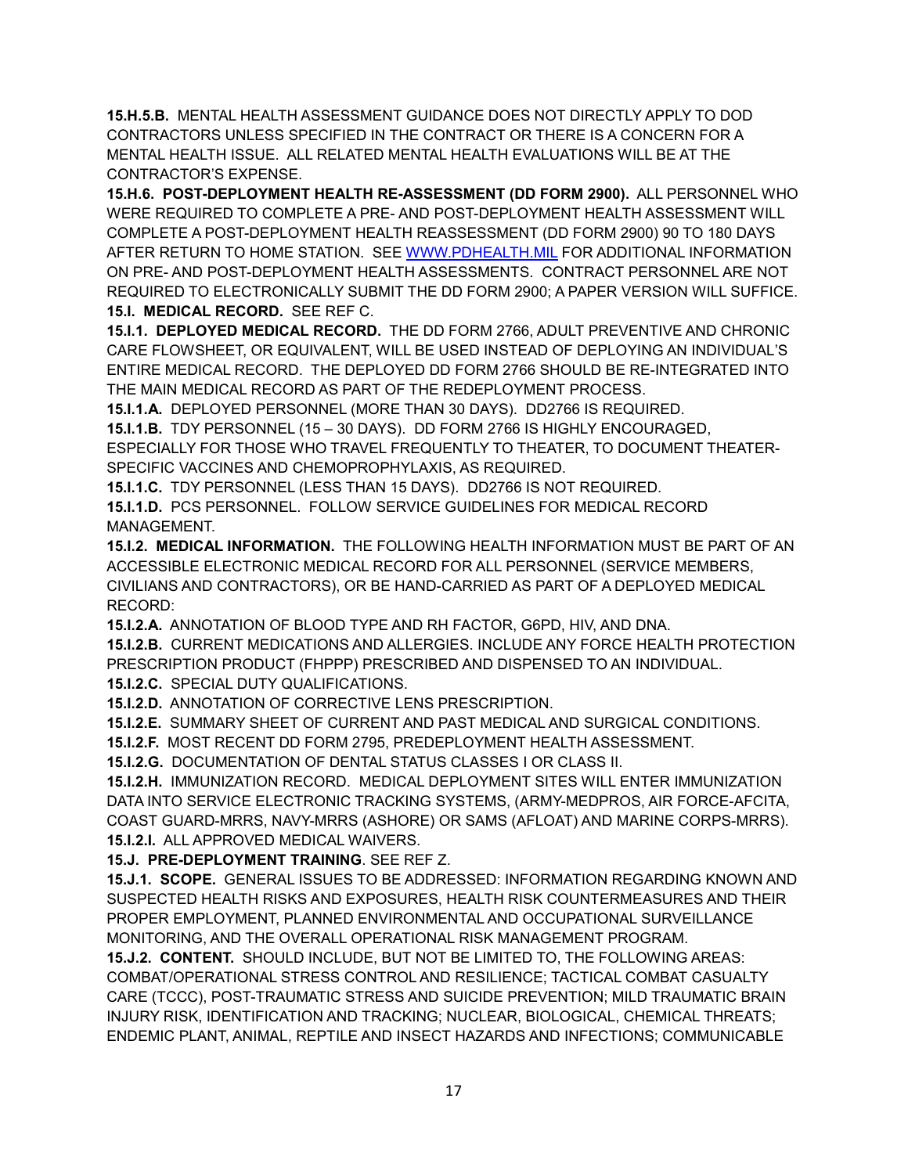**15.H.5.B.** MENTAL HEALTH ASSESSMENT GUIDANCE DOES NOT DIRECTLY APPLY TO DOD CONTRACTORS UNLESS SPECIFIED IN THE CONTRACT OR THERE IS A CONCERN FOR A MENTAL HEALTH ISSUE. ALL RELATED MENTAL HEALTH EVALUATIONS WILL BE AT THE CONTRACTOR'S EXPENSE.

**15.H.6. POST-DEPLOYMENT HEALTH RE-ASSESSMENT (DD FORM 2900).** ALL PERSONNEL WHO WERE REQUIRED TO COMPLETE A PRE- AND POST-DEPLOYMENT HEALTH ASSESSMENT WILL COMPLETE A POST-DEPLOYMENT HEALTH REASSESSMENT (DD FORM 2900) 90 TO 180 DAYS AFTER RETURN TO HOME STATION. SEE [WWW.PDHEALTH.MIL](http://www.pdhealth.mil/) FOR ADDITIONAL INFORMATION ON PRE- AND POST-DEPLOYMENT HEALTH ASSESSMENTS. CONTRACT PERSONNEL ARE NOT REQUIRED TO ELECTRONICALLY SUBMIT THE DD FORM 2900; A PAPER VERSION WILL SUFFICE. **15.I. MEDICAL RECORD.** SEE REF C.

**15.I.1. DEPLOYED MEDICAL RECORD.** THE DD FORM 2766, ADULT PREVENTIVE AND CHRONIC CARE FLOWSHEET, OR EQUIVALENT, WILL BE USED INSTEAD OF DEPLOYING AN INDIVIDUAL'S ENTIRE MEDICAL RECORD. THE DEPLOYED DD FORM 2766 SHOULD BE RE-INTEGRATED INTO THE MAIN MEDICAL RECORD AS PART OF THE REDEPLOYMENT PROCESS.

**15.I.1.A.** DEPLOYED PERSONNEL (MORE THAN 30 DAYS). DD2766 IS REQUIRED.

**15.I.1.B.** TDY PERSONNEL (15 – 30 DAYS). DD FORM 2766 IS HIGHLY ENCOURAGED,

ESPECIALLY FOR THOSE WHO TRAVEL FREQUENTLY TO THEATER, TO DOCUMENT THEATER-SPECIFIC VACCINES AND CHEMOPROPHYLAXIS, AS REQUIRED.

**15.I.1.C.** TDY PERSONNEL (LESS THAN 15 DAYS). DD2766 IS NOT REQUIRED.

**15.I.1.D.** PCS PERSONNEL. FOLLOW SERVICE GUIDELINES FOR MEDICAL RECORD MANAGEMENT.

**15.I.2. MEDICAL INFORMATION.** THE FOLLOWING HEALTH INFORMATION MUST BE PART OF AN ACCESSIBLE ELECTRONIC MEDICAL RECORD FOR ALL PERSONNEL (SERVICE MEMBERS, CIVILIANS AND CONTRACTORS), OR BE HAND-CARRIED AS PART OF A DEPLOYED MEDICAL RECORD:

**15.I.2.A.** ANNOTATION OF BLOOD TYPE AND RH FACTOR, G6PD, HIV, AND DNA.

**15.I.2.B.** CURRENT MEDICATIONS AND ALLERGIES. INCLUDE ANY FORCE HEALTH PROTECTION PRESCRIPTION PRODUCT (FHPPP) PRESCRIBED AND DISPENSED TO AN INDIVIDUAL.

**15.I.2.C.** SPECIAL DUTY QUALIFICATIONS.

**15.I.2.D.** ANNOTATION OF CORRECTIVE LENS PRESCRIPTION.

**15.I.2.E.** SUMMARY SHEET OF CURRENT AND PAST MEDICAL AND SURGICAL CONDITIONS.

**15.I.2.F.** MOST RECENT DD FORM 2795, PREDEPLOYMENT HEALTH ASSESSMENT.

**15.I.2.G.** DOCUMENTATION OF DENTAL STATUS CLASSES I OR CLASS II.

**15.I.2.H.** IMMUNIZATION RECORD. MEDICAL DEPLOYMENT SITES WILL ENTER IMMUNIZATION DATA INTO SERVICE ELECTRONIC TRACKING SYSTEMS, (ARMY-MEDPROS, AIR FORCE-AFCITA, COAST GUARD-MRRS, NAVY-MRRS (ASHORE) OR SAMS (AFLOAT) AND MARINE CORPS-MRRS). **15.I.2.I.** ALL APPROVED MEDICAL WAIVERS.

**15.J. PRE-DEPLOYMENT TRAINING**. SEE REF Z.

**15.J.1. SCOPE.** GENERAL ISSUES TO BE ADDRESSED: INFORMATION REGARDING KNOWN AND SUSPECTED HEALTH RISKS AND EXPOSURES, HEALTH RISK COUNTERMEASURES AND THEIR PROPER EMPLOYMENT, PLANNED ENVIRONMENTAL AND OCCUPATIONAL SURVEILLANCE MONITORING, AND THE OVERALL OPERATIONAL RISK MANAGEMENT PROGRAM.

**15.J.2. CONTENT.** SHOULD INCLUDE, BUT NOT BE LIMITED TO, THE FOLLOWING AREAS: COMBAT/OPERATIONAL STRESS CONTROL AND RESILIENCE; TACTICAL COMBAT CASUALTY CARE (TCCC), POST-TRAUMATIC STRESS AND SUICIDE PREVENTION; MILD TRAUMATIC BRAIN INJURY RISK, IDENTIFICATION AND TRACKING; NUCLEAR, BIOLOGICAL, CHEMICAL THREATS; ENDEMIC PLANT, ANIMAL, REPTILE AND INSECT HAZARDS AND INFECTIONS; COMMUNICABLE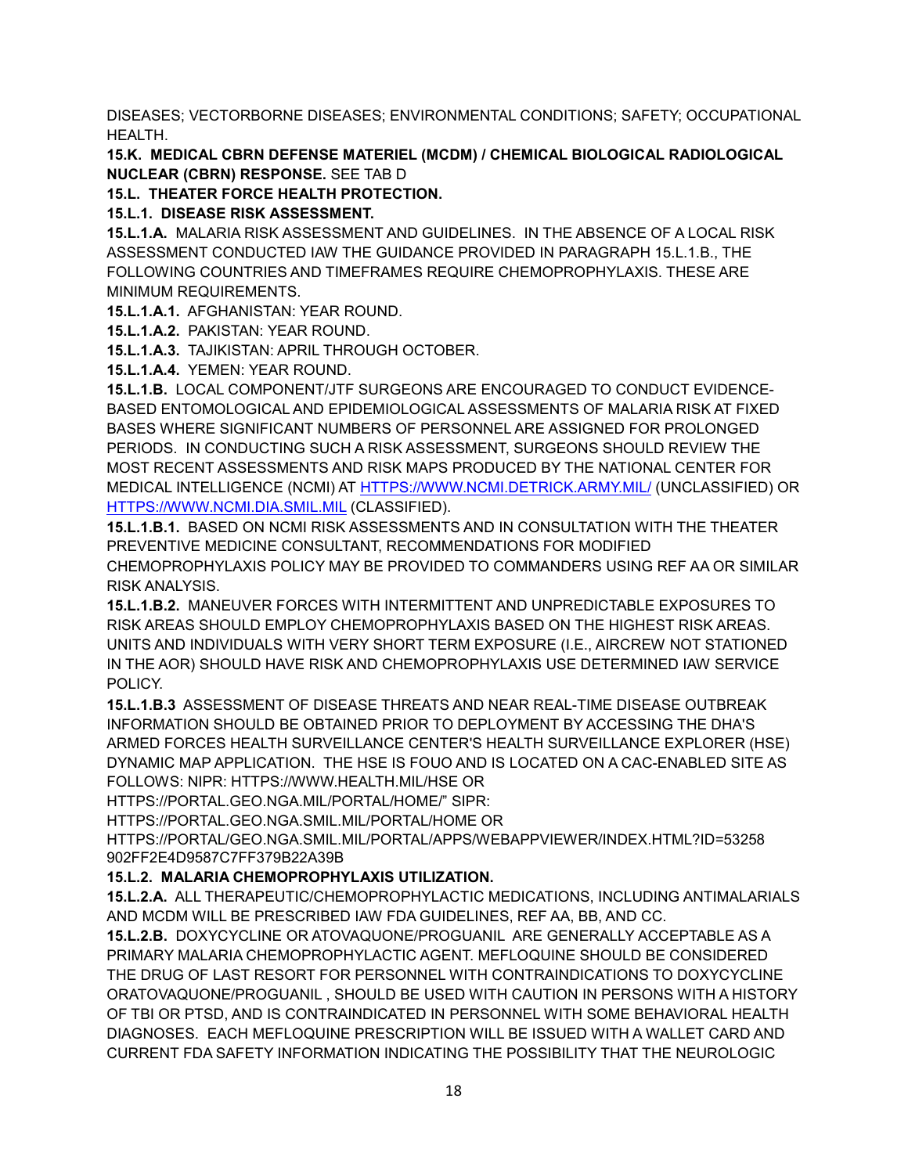DISEASES; VECTORBORNE DISEASES; ENVIRONMENTAL CONDITIONS; SAFETY; OCCUPATIONAL HEALTH.

**15.K. MEDICAL CBRN DEFENSE MATERIEL (MCDM) / CHEMICAL BIOLOGICAL RADIOLOGICAL NUCLEAR (CBRN) RESPONSE.** SEE TAB D

**15.L. THEATER FORCE HEALTH PROTECTION.**

**15.L.1. DISEASE RISK ASSESSMENT.**

**15.L.1.A.** MALARIA RISK ASSESSMENT AND GUIDELINES. IN THE ABSENCE OF A LOCAL RISK ASSESSMENT CONDUCTED IAW THE GUIDANCE PROVIDED IN PARAGRAPH 15.L.1.B., THE FOLLOWING COUNTRIES AND TIMEFRAMES REQUIRE CHEMOPROPHYLAXIS. THESE ARE MINIMUM REQUIREMENTS.

**15.L.1.A.1.** AFGHANISTAN: YEAR ROUND.

**15.L.1.A.2.** PAKISTAN: YEAR ROUND.

**15.L.1.A.3.** TAJIKISTAN: APRIL THROUGH OCTOBER.

**15.L.1.A.4.** YEMEN: YEAR ROUND.

**15.L.1.B.** LOCAL COMPONENT/JTF SURGEONS ARE ENCOURAGED TO CONDUCT EVIDENCE-BASED ENTOMOLOGICAL AND EPIDEMIOLOGICAL ASSESSMENTS OF MALARIA RISK AT FIXED BASES WHERE SIGNIFICANT NUMBERS OF PERSONNEL ARE ASSIGNED FOR PROLONGED PERIODS. IN CONDUCTING SUCH A RISK ASSESSMENT, SURGEONS SHOULD REVIEW THE MOST RECENT ASSESSMENTS AND RISK MAPS PRODUCED BY THE NATIONAL CENTER FOR MEDICAL INTELLIGENCE (NCMI) AT [HTTPS://WWW.NCMI.DETRICK.ARMY.MIL/](https://www.ncmi.detrick.army.mil/) (UNCLASSIFIED) OR [HTTPS://WWW.NCMI.DIA.SMIL.MIL](https://www.ncmi.dia.smil.mil/) (CLASSIFIED).

**15.L.1.B.1.** BASED ON NCMI RISK ASSESSMENTS AND IN CONSULTATION WITH THE THEATER PREVENTIVE MEDICINE CONSULTANT, RECOMMENDATIONS FOR MODIFIED CHEMOPROPHYLAXIS POLICY MAY BE PROVIDED TO COMMANDERS USING REF AA OR SIMILAR RISK ANALYSIS.

**15.L.1.B.2.** MANEUVER FORCES WITH INTERMITTENT AND UNPREDICTABLE EXPOSURES TO RISK AREAS SHOULD EMPLOY CHEMOPROPHYLAXIS BASED ON THE HIGHEST RISK AREAS. UNITS AND INDIVIDUALS WITH VERY SHORT TERM EXPOSURE (I.E., AIRCREW NOT STATIONED IN THE AOR) SHOULD HAVE RISK AND CHEMOPROPHYLAXIS USE DETERMINED IAW SERVICE POLICY.

**15.L.1.B.3** ASSESSMENT OF DISEASE THREATS AND NEAR REAL-TIME DISEASE OUTBREAK INFORMATION SHOULD BE OBTAINED PRIOR TO DEPLOYMENT BY ACCESSING THE DHA'S ARMED FORCES HEALTH SURVEILLANCE CENTER'S HEALTH SURVEILLANCE EXPLORER (HSE) DYNAMIC MAP APPLICATION. THE HSE IS FOUO AND IS LOCATED ON A CAC-ENABLED SITE AS FOLLOWS: NIPR: HTTPS://WWW.HEALTH.MIL/HSE OR

HTTPS://PORTAL.GEO.NGA.MIL/PORTAL/HOME/" SIPR:

HTTPS://PORTAL.GEO.NGA.SMIL.MIL/PORTAL/HOME OR

HTTPS://PORTAL/GEO.NGA.SMIL.MIL/PORTAL/APPS/WEBAPPVIEWER/INDEX.HTML?ID=53258 902FF2E4D9587C7FF379B22A39B

## **15.L.2. MALARIA CHEMOPROPHYLAXIS UTILIZATION.**

**15.L.2.A.** ALL THERAPEUTIC/CHEMOPROPHYLACTIC MEDICATIONS, INCLUDING ANTIMALARIALS AND MCDM WILL BE PRESCRIBED IAW FDA GUIDELINES, REF AA, BB, AND CC.

**15.L.2.B.** DOXYCYCLINE OR ATOVAQUONE/PROGUANIL ARE GENERALLY ACCEPTABLE AS A PRIMARY MALARIA CHEMOPROPHYLACTIC AGENT. MEFLOQUINE SHOULD BE CONSIDERED THE DRUG OF LAST RESORT FOR PERSONNEL WITH CONTRAINDICATIONS TO DOXYCYCLINE ORATOVAQUONE/PROGUANIL , SHOULD BE USED WITH CAUTION IN PERSONS WITH A HISTORY OF TBI OR PTSD, AND IS CONTRAINDICATED IN PERSONNEL WITH SOME BEHAVIORAL HEALTH DIAGNOSES. EACH MEFLOQUINE PRESCRIPTION WILL BE ISSUED WITH A WALLET CARD AND CURRENT FDA SAFETY INFORMATION INDICATING THE POSSIBILITY THAT THE NEUROLOGIC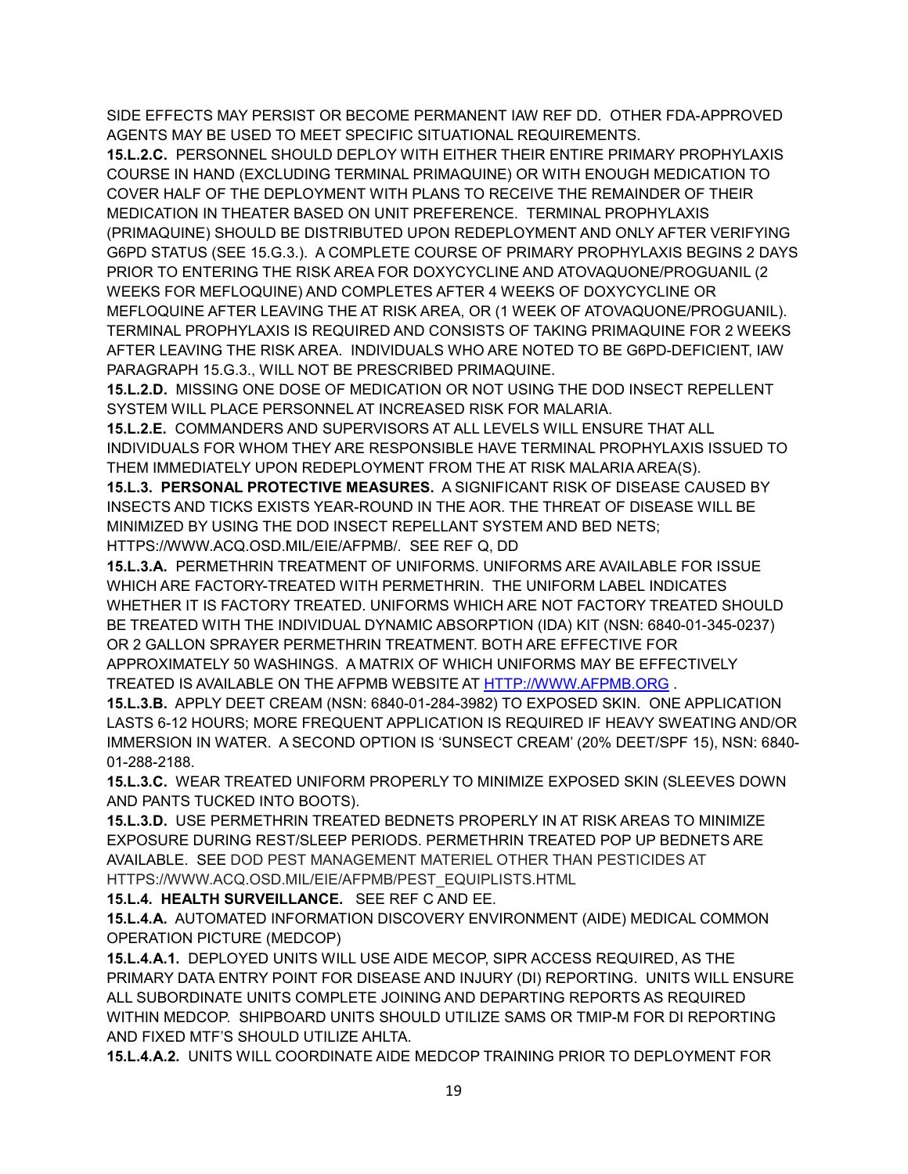SIDE EFFECTS MAY PERSIST OR BECOME PERMANENT IAW REF DD. OTHER FDA-APPROVED AGENTS MAY BE USED TO MEET SPECIFIC SITUATIONAL REQUIREMENTS.

**15.L.2.C.** PERSONNEL SHOULD DEPLOY WITH EITHER THEIR ENTIRE PRIMARY PROPHYLAXIS COURSE IN HAND (EXCLUDING TERMINAL PRIMAQUINE) OR WITH ENOUGH MEDICATION TO COVER HALF OF THE DEPLOYMENT WITH PLANS TO RECEIVE THE REMAINDER OF THEIR MEDICATION IN THEATER BASED ON UNIT PREFERENCE. TERMINAL PROPHYLAXIS (PRIMAQUINE) SHOULD BE DISTRIBUTED UPON REDEPLOYMENT AND ONLY AFTER VERIFYING G6PD STATUS (SEE 15.G.3.). A COMPLETE COURSE OF PRIMARY PROPHYLAXIS BEGINS 2 DAYS PRIOR TO ENTERING THE RISK AREA FOR DOXYCYCLINE AND ATOVAQUONE/PROGUANIL (2 WEEKS FOR MEFLOQUINE) AND COMPLETES AFTER 4 WEEKS OF DOXYCYCLINE OR MEFLOQUINE AFTER LEAVING THE AT RISK AREA, OR (1 WEEK OF ATOVAQUONE/PROGUANIL). TERMINAL PROPHYLAXIS IS REQUIRED AND CONSISTS OF TAKING PRIMAQUINE FOR 2 WEEKS AFTER LEAVING THE RISK AREA. INDIVIDUALS WHO ARE NOTED TO BE G6PD-DEFICIENT, IAW PARAGRAPH 15.G.3., WILL NOT BE PRESCRIBED PRIMAQUINE.

**15.L.2.D.** MISSING ONE DOSE OF MEDICATION OR NOT USING THE DOD INSECT REPELLENT SYSTEM WILL PLACE PERSONNEL AT INCREASED RISK FOR MALARIA.

**15.L.2.E.** COMMANDERS AND SUPERVISORS AT ALL LEVELS WILL ENSURE THAT ALL INDIVIDUALS FOR WHOM THEY ARE RESPONSIBLE HAVE TERMINAL PROPHYLAXIS ISSUED TO THEM IMMEDIATELY UPON REDEPLOYMENT FROM THE AT RISK MALARIA AREA(S).

**15.L.3. PERSONAL PROTECTIVE MEASURES.** A SIGNIFICANT RISK OF DISEASE CAUSED BY INSECTS AND TICKS EXISTS YEAR-ROUND IN THE AOR. THE THREAT OF DISEASE WILL BE MINIMIZED BY USING THE DOD INSECT REPELLANT SYSTEM AND BED NETS;

HTTPS://WWW.ACQ.OSD.MIL/EIE/AFPMB/. SEE REF Q, DD

**15.L.3.A.** PERMETHRIN TREATMENT OF UNIFORMS. UNIFORMS ARE AVAILABLE FOR ISSUE WHICH ARE FACTORY-TREATED WITH PERMETHRIN. THE UNIFORM LABEL INDICATES WHETHER IT IS FACTORY TREATED. UNIFORMS WHICH ARE NOT FACTORY TREATED SHOULD BE TREATED WITH THE INDIVIDUAL DYNAMIC ABSORPTION (IDA) KIT (NSN: 6840-01-345-0237) OR 2 GALLON SPRAYER PERMETHRIN TREATMENT. BOTH ARE EFFECTIVE FOR APPROXIMATELY 50 WASHINGS. A MATRIX OF WHICH UNIFORMS MAY BE EFFECTIVELY TREATED IS AVAILABLE ON THE AFPMB WEBSITE AT [HTTP://WWW.AFPMB.ORG](http://www.afpmb.org/) .

**15.L.3.B.** APPLY DEET CREAM (NSN: 6840-01-284-3982) TO EXPOSED SKIN. ONE APPLICATION LASTS 6-12 HOURS; MORE FREQUENT APPLICATION IS REQUIRED IF HEAVY SWEATING AND/OR IMMERSION IN WATER. A SECOND OPTION IS 'SUNSECT CREAM' (20% DEET/SPF 15), NSN: 6840- 01-288-2188.

**15.L.3.C.** WEAR TREATED UNIFORM PROPERLY TO MINIMIZE EXPOSED SKIN (SLEEVES DOWN AND PANTS TUCKED INTO BOOTS).

**15.L.3.D.** USE PERMETHRIN TREATED BEDNETS PROPERLY IN AT RISK AREAS TO MINIMIZE EXPOSURE DURING REST/SLEEP PERIODS. PERMETHRIN TREATED POP UP BEDNETS ARE AVAILABLE. SEE DOD PEST MANAGEMENT MATERIEL OTHER THAN PESTICIDES AT HTTPS://WWW.ACQ.OSD.MIL/EIE/AFPMB/PEST\_EQUIPLISTS.HTML

**15.L.4. HEALTH SURVEILLANCE.** SEE REF C AND EE.

**15.L.4.A.** AUTOMATED INFORMATION DISCOVERY ENVIRONMENT (AIDE) MEDICAL COMMON OPERATION PICTURE (MEDCOP)

**15.L.4.A.1.** DEPLOYED UNITS WILL USE AIDE MECOP, SIPR ACCESS REQUIRED, AS THE PRIMARY DATA ENTRY POINT FOR DISEASE AND INJURY (DI) REPORTING. UNITS WILL ENSURE ALL SUBORDINATE UNITS COMPLETE JOINING AND DEPARTING REPORTS AS REQUIRED WITHIN MEDCOP. SHIPBOARD UNITS SHOULD UTILIZE SAMS OR TMIP-M FOR DI REPORTING AND FIXED MTF'S SHOULD UTILIZE AHLTA.

**15.L.4.A.2.** UNITS WILL COORDINATE AIDE MEDCOP TRAINING PRIOR TO DEPLOYMENT FOR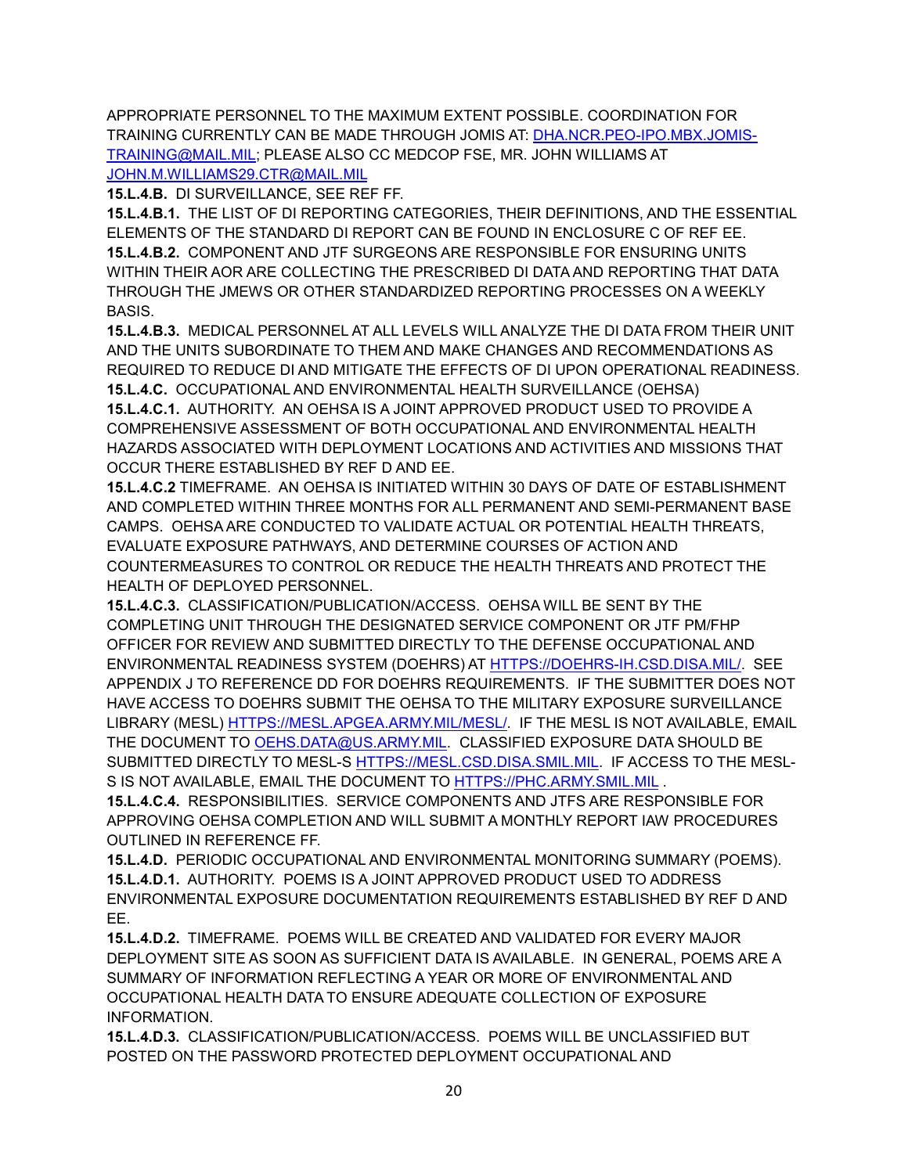APPROPRIATE PERSONNEL TO THE MAXIMUM EXTENT POSSIBLE. COORDINATION FOR TRAINING CURRENTLY CAN BE MADE THROUGH JOMIS AT: [DHA.NCR.PEO-IPO.MBX.JOMIS-](mailto:DHA.NCR.PEO-IPO.MBX.JOMIS-TRAINING@MAIL.MIL)[TRAINING@MAIL.MIL;](mailto:DHA.NCR.PEO-IPO.MBX.JOMIS-TRAINING@MAIL.MIL) PLEASE ALSO CC MEDCOP FSE, MR. JOHN WILLIAMS AT [JOHN.M.WILLIAMS29.CTR@MAIL.MIL](mailto:JOHN.M.WILLIAMS29.CTR@MAIL.MIL)

**15.L.4.B.** DI SURVEILLANCE, SEE REF FF.

**15.L.4.B.1.** THE LIST OF DI REPORTING CATEGORIES, THEIR DEFINITIONS, AND THE ESSENTIAL ELEMENTS OF THE STANDARD DI REPORT CAN BE FOUND IN ENCLOSURE C OF REF EE. **15.L.4.B.2.** COMPONENT AND JTF SURGEONS ARE RESPONSIBLE FOR ENSURING UNITS WITHIN THEIR AOR ARE COLLECTING THE PRESCRIBED DI DATA AND REPORTING THAT DATA THROUGH THE JMEWS OR OTHER STANDARDIZED REPORTING PROCESSES ON A WEEKLY BASIS.

**15.L.4.B.3.** MEDICAL PERSONNEL AT ALL LEVELS WILL ANALYZE THE DI DATA FROM THEIR UNIT AND THE UNITS SUBORDINATE TO THEM AND MAKE CHANGES AND RECOMMENDATIONS AS REQUIRED TO REDUCE DI AND MITIGATE THE EFFECTS OF DI UPON OPERATIONAL READINESS. **15.L.4.C.** OCCUPATIONAL AND ENVIRONMENTAL HEALTH SURVEILLANCE (OEHSA)

**15.L.4.C.1.** AUTHORITY. AN OEHSA IS A JOINT APPROVED PRODUCT USED TO PROVIDE A COMPREHENSIVE ASSESSMENT OF BOTH OCCUPATIONAL AND ENVIRONMENTAL HEALTH HAZARDS ASSOCIATED WITH DEPLOYMENT LOCATIONS AND ACTIVITIES AND MISSIONS THAT OCCUR THERE ESTABLISHED BY REF D AND EE.

**15.L.4.C.2** TIMEFRAME. AN OEHSA IS INITIATED WITHIN 30 DAYS OF DATE OF ESTABLISHMENT AND COMPLETED WITHIN THREE MONTHS FOR ALL PERMANENT AND SEMI-PERMANENT BASE CAMPS. OEHSA ARE CONDUCTED TO VALIDATE ACTUAL OR POTENTIAL HEALTH THREATS, EVALUATE EXPOSURE PATHWAYS, AND DETERMINE COURSES OF ACTION AND COUNTERMEASURES TO CONTROL OR REDUCE THE HEALTH THREATS AND PROTECT THE HEALTH OF DEPLOYED PERSONNEL.

**15.L.4.C.3.** CLASSIFICATION/PUBLICATION/ACCESS. OEHSA WILL BE SENT BY THE COMPLETING UNIT THROUGH THE DESIGNATED SERVICE COMPONENT OR JTF PM/FHP OFFICER FOR REVIEW AND SUBMITTED DIRECTLY TO THE DEFENSE OCCUPATIONAL AND ENVIRONMENTAL READINESS SYSTEM (DOEHRS) AT [HTTPS://DOEHRS-IH.CSD.DISA.MIL/.](https://doehrs-ih.csd.disa.mil/) SEE APPENDIX J TO REFERENCE DD FOR DOEHRS REQUIREMENTS. IF THE SUBMITTER DOES NOT HAVE ACCESS TO DOEHRS SUBMIT THE OEHSA TO THE MILITARY EXPOSURE SURVEILLANCE LIBRARY (MESL) [HTTPS://MESL.APGEA.ARMY.MIL/MESL/.](https://mesl.apgea.army.mil/MESL/) IF THE MESL IS NOT AVAILABLE, EMAIL THE DOCUMENT TO [OEHS.DATA@US.ARMY.MIL.](mailto:OEHS.DATA@US.ARMY.MIL) CLASSIFIED EXPOSURE DATA SHOULD BE SUBMITTED DIRECTLY TO MESL-S [HTTPS://MESL.CSD.DISA.SMIL.MIL.](https://mesl.csd.disa.smil.mil/) IF ACCESS TO THE MESL-S IS NOT AVAILABLE, EMAIL THE DOCUMENT TO [HTTPS://PHC.ARMY.SMIL.MIL](https://phc.army.smil.mil/).

**15.L.4.C.4.** RESPONSIBILITIES. SERVICE COMPONENTS AND JTFS ARE RESPONSIBLE FOR APPROVING OEHSA COMPLETION AND WILL SUBMIT A MONTHLY REPORT IAW PROCEDURES OUTLINED IN REFERENCE FF.

**15.L.4.D.** PERIODIC OCCUPATIONAL AND ENVIRONMENTAL MONITORING SUMMARY (POEMS). **15.L.4.D.1.** AUTHORITY. POEMS IS A JOINT APPROVED PRODUCT USED TO ADDRESS ENVIRONMENTAL EXPOSURE DOCUMENTATION REQUIREMENTS ESTABLISHED BY REF D AND EE.

**15.L.4.D.2.** TIMEFRAME. POEMS WILL BE CREATED AND VALIDATED FOR EVERY MAJOR DEPLOYMENT SITE AS SOON AS SUFFICIENT DATA IS AVAILABLE. IN GENERAL, POEMS ARE A SUMMARY OF INFORMATION REFLECTING A YEAR OR MORE OF ENVIRONMENTAL AND OCCUPATIONAL HEALTH DATA TO ENSURE ADEQUATE COLLECTION OF EXPOSURE INFORMATION.

**15.L.4.D.3.** CLASSIFICATION/PUBLICATION/ACCESS. POEMS WILL BE UNCLASSIFIED BUT POSTED ON THE PASSWORD PROTECTED DEPLOYMENT OCCUPATIONAL AND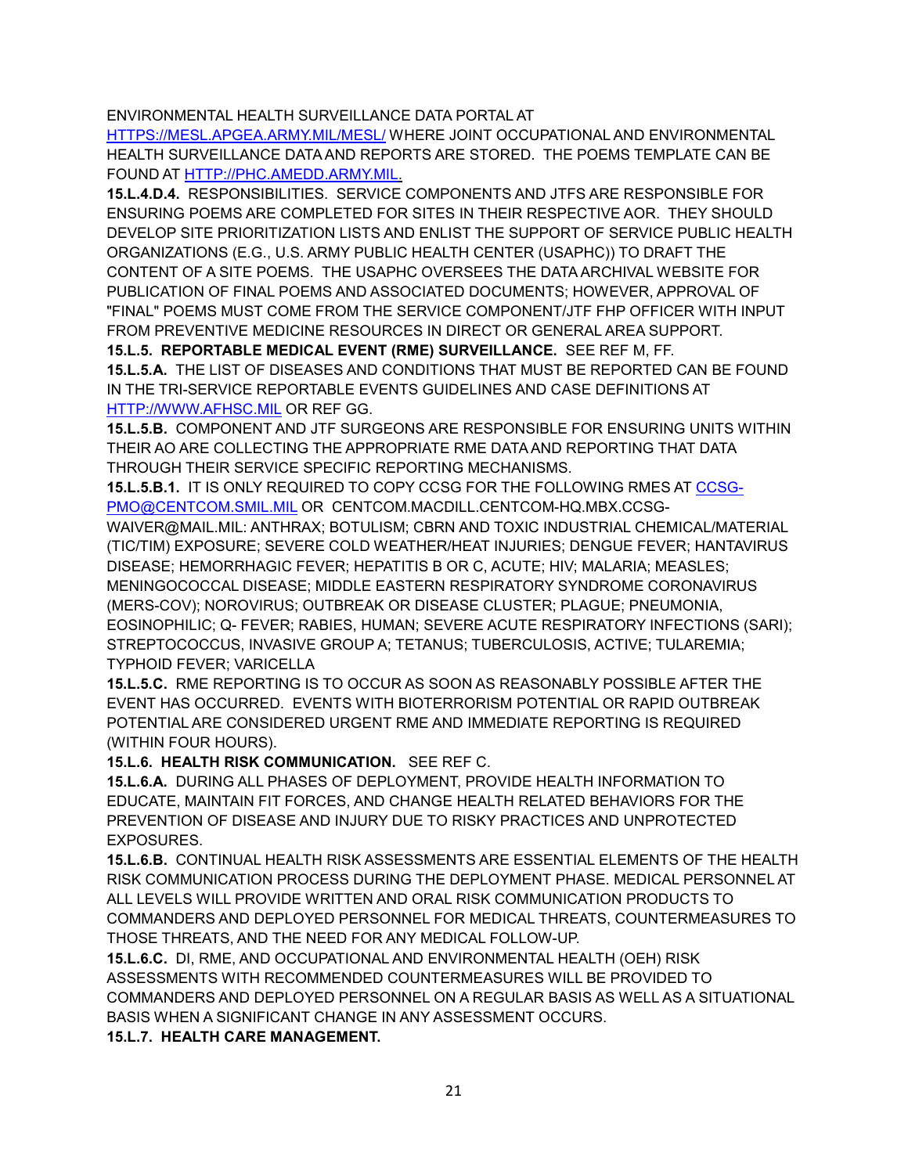### ENVIRONMENTAL HEALTH SURVEILLANCE DATA PORTAL AT

[HTTPS://MESL.APGEA.ARMY.MIL/MESL/](https://mesl.apgea.army.mil/mesl/) WHERE JOINT OCCUPATIONAL AND ENVIRONMENTAL HEALTH SURVEILLANCE DATA AND REPORTS ARE STORED. THE POEMS TEMPLATE CAN BE FOUND AT [HTTP://PHC.AMEDD.ARMY.MIL.](http://phc.amedd.army.mil/)

**15.L.4.D.4.** RESPONSIBILITIES. SERVICE COMPONENTS AND JTFS ARE RESPONSIBLE FOR ENSURING POEMS ARE COMPLETED FOR SITES IN THEIR RESPECTIVE AOR. THEY SHOULD DEVELOP SITE PRIORITIZATION LISTS AND ENLIST THE SUPPORT OF SERVICE PUBLIC HEALTH ORGANIZATIONS (E.G., U.S. ARMY PUBLIC HEALTH CENTER (USAPHC)) TO DRAFT THE CONTENT OF A SITE POEMS. THE USAPHC OVERSEES THE DATA ARCHIVAL WEBSITE FOR PUBLICATION OF FINAL POEMS AND ASSOCIATED DOCUMENTS; HOWEVER, APPROVAL OF "FINAL" POEMS MUST COME FROM THE SERVICE COMPONENT/JTF FHP OFFICER WITH INPUT FROM PREVENTIVE MEDICINE RESOURCES IN DIRECT OR GENERAL AREA SUPPORT.

**15.L.5. REPORTABLE MEDICAL EVENT (RME) SURVEILLANCE.** SEE REF M, FF. **15.L.5.A.** THE LIST OF DISEASES AND CONDITIONS THAT MUST BE REPORTED CAN BE FOUND IN THE TRI-SERVICE REPORTABLE EVENTS GUIDELINES AND CASE DEFINITIONS AT [HTTP://WWW.AFHSC.MIL](http://www.afhsc.mil/) OR REF GG.

**15.L.5.B.** COMPONENT AND JTF SURGEONS ARE RESPONSIBLE FOR ENSURING UNITS WITHIN THEIR AO ARE COLLECTING THE APPROPRIATE RME DATA AND REPORTING THAT DATA THROUGH THEIR SERVICE SPECIFIC REPORTING MECHANISMS.

**15.L.5.B.1.** IT IS ONLY REQUIRED TO COPY CCSG FOR THE FOLLOWING RMES AT [CCSG-](mailto:CCSG-PMO@CENTCOM.SMIL.MIL)[PMO@CENTCOM.SMIL.MIL](mailto:CCSG-PMO@CENTCOM.SMIL.MIL) OR CENTCOM.MACDILL.CENTCOM-HQ.MBX.CCSG-

WAIVER@MAIL.MIL: ANTHRAX; BOTULISM; CBRN AND TOXIC INDUSTRIAL CHEMICAL/MATERIAL (TIC/TIM) EXPOSURE; SEVERE COLD WEATHER/HEAT INJURIES; DENGUE FEVER; HANTAVIRUS DISEASE; HEMORRHAGIC FEVER; HEPATITIS B OR C, ACUTE; HIV; MALARIA; MEASLES; MENINGOCOCCAL DISEASE; MIDDLE EASTERN RESPIRATORY SYNDROME CORONAVIRUS (MERS-COV); NOROVIRUS; OUTBREAK OR DISEASE CLUSTER; PLAGUE; PNEUMONIA, EOSINOPHILIC; Q- FEVER; RABIES, HUMAN; SEVERE ACUTE RESPIRATORY INFECTIONS (SARI); STREPTOCOCCUS, INVASIVE GROUP A; TETANUS; TUBERCULOSIS, ACTIVE; TULAREMIA; TYPHOID FEVER; VARICELLA

**15.L.5.C.** RME REPORTING IS TO OCCUR AS SOON AS REASONABLY POSSIBLE AFTER THE EVENT HAS OCCURRED. EVENTS WITH BIOTERRORISM POTENTIAL OR RAPID OUTBREAK POTENTIAL ARE CONSIDERED URGENT RME AND IMMEDIATE REPORTING IS REQUIRED (WITHIN FOUR HOURS).

**15.L.6. HEALTH RISK COMMUNICATION.** SEE REF C.

**15.L.6.A.** DURING ALL PHASES OF DEPLOYMENT, PROVIDE HEALTH INFORMATION TO EDUCATE, MAINTAIN FIT FORCES, AND CHANGE HEALTH RELATED BEHAVIORS FOR THE PREVENTION OF DISEASE AND INJURY DUE TO RISKY PRACTICES AND UNPROTECTED EXPOSURES.

**15.L.6.B.** CONTINUAL HEALTH RISK ASSESSMENTS ARE ESSENTIAL ELEMENTS OF THE HEALTH RISK COMMUNICATION PROCESS DURING THE DEPLOYMENT PHASE. MEDICAL PERSONNEL AT ALL LEVELS WILL PROVIDE WRITTEN AND ORAL RISK COMMUNICATION PRODUCTS TO COMMANDERS AND DEPLOYED PERSONNEL FOR MEDICAL THREATS, COUNTERMEASURES TO THOSE THREATS, AND THE NEED FOR ANY MEDICAL FOLLOW-UP.

**15.L.6.C.** DI, RME, AND OCCUPATIONAL AND ENVIRONMENTAL HEALTH (OEH) RISK ASSESSMENTS WITH RECOMMENDED COUNTERMEASURES WILL BE PROVIDED TO COMMANDERS AND DEPLOYED PERSONNEL ON A REGULAR BASIS AS WELL AS A SITUATIONAL BASIS WHEN A SIGNIFICANT CHANGE IN ANY ASSESSMENT OCCURS.

**15.L.7. HEALTH CARE MANAGEMENT.**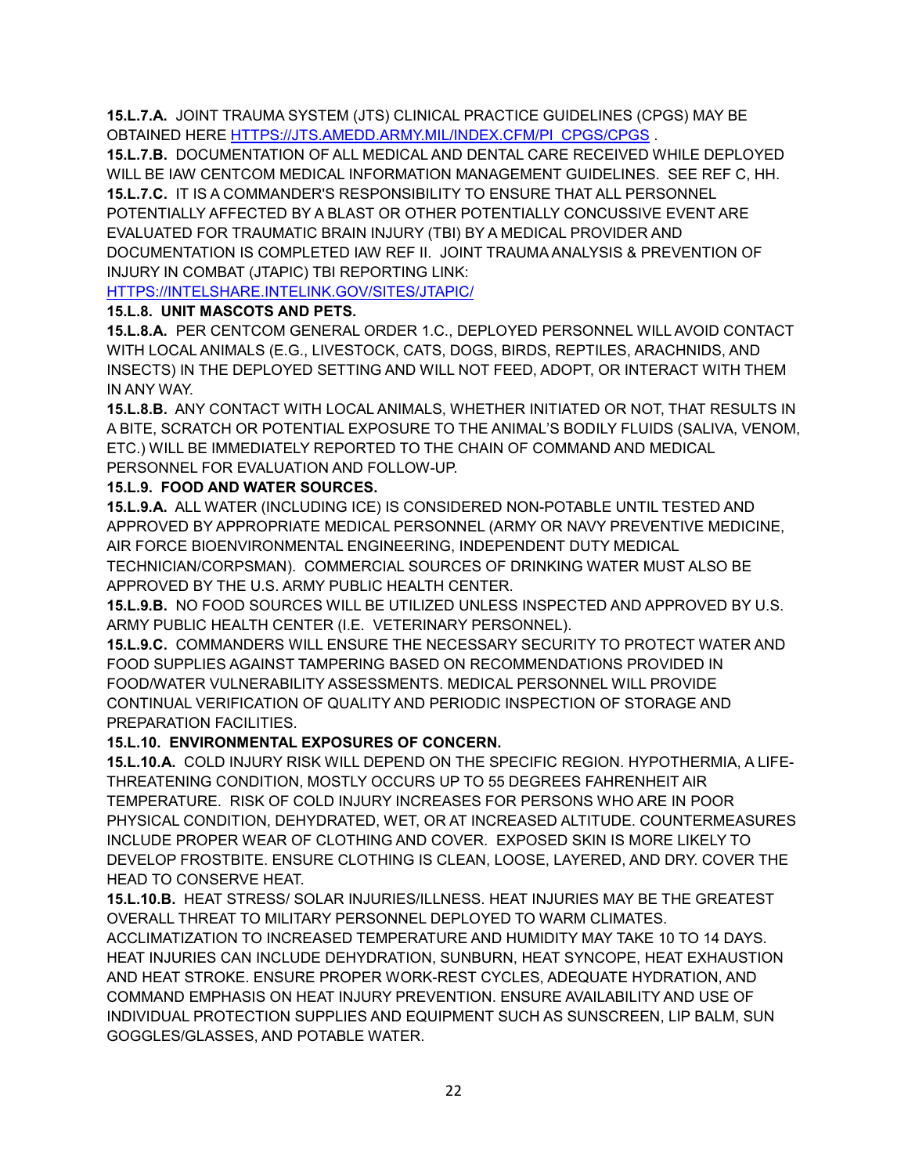**15.L.7.A.** JOINT TRAUMA SYSTEM (JTS) CLINICAL PRACTICE GUIDELINES (CPGS) MAY BE OBTAINED HERE [HTTPS://JTS.AMEDD.ARMY.MIL/INDEX.CFM/PI\\_CPGS/CPGS](https://jts.amedd.army.mil/INDEX.CFM/PI_CPGS/CPGS) .

**15.L.7.B.** DOCUMENTATION OF ALL MEDICAL AND DENTAL CARE RECEIVED WHILE DEPLOYED WILL BE IAW CENTCOM MEDICAL INFORMATION MANAGEMENT GUIDELINES. SEE REF C, HH. **15.L.7.C.** IT IS A COMMANDER'S RESPONSIBILITY TO ENSURE THAT ALL PERSONNEL POTENTIALLY AFFECTED BY A BLAST OR OTHER POTENTIALLY CONCUSSIVE EVENT ARE EVALUATED FOR TRAUMATIC BRAIN INJURY (TBI) BY A MEDICAL PROVIDER AND DOCUMENTATION IS COMPLETED IAW REF II. JOINT TRAUMA ANALYSIS & PREVENTION OF INJURY IN COMBAT (JTAPIC) TBI REPORTING LINK:

[HTTPS://INTELSHARE.INTELINK.GOV/SITES/JTAPIC/](https://intelshare.intelink.gov/sites/jtapic/)

## **15.L.8. UNIT MASCOTS AND PETS.**

**15.L.8.A.** PER CENTCOM GENERAL ORDER 1.C., DEPLOYED PERSONNEL WILL AVOID CONTACT WITH LOCAL ANIMALS (E.G., LIVESTOCK, CATS, DOGS, BIRDS, REPTILES, ARACHNIDS, AND INSECTS) IN THE DEPLOYED SETTING AND WILL NOT FEED, ADOPT, OR INTERACT WITH THEM IN ANY WAY.

**15.L.8.B.** ANY CONTACT WITH LOCAL ANIMALS, WHETHER INITIATED OR NOT, THAT RESULTS IN A BITE, SCRATCH OR POTENTIAL EXPOSURE TO THE ANIMAL'S BODILY FLUIDS (SALIVA, VENOM, ETC.) WILL BE IMMEDIATELY REPORTED TO THE CHAIN OF COMMAND AND MEDICAL PERSONNEL FOR EVALUATION AND FOLLOW-UP.

### **15.L.9. FOOD AND WATER SOURCES.**

**15.L.9.A.** ALL WATER (INCLUDING ICE) IS CONSIDERED NON-POTABLE UNTIL TESTED AND APPROVED BY APPROPRIATE MEDICAL PERSONNEL (ARMY OR NAVY PREVENTIVE MEDICINE, AIR FORCE BIOENVIRONMENTAL ENGINEERING, INDEPENDENT DUTY MEDICAL

TECHNICIAN/CORPSMAN). COMMERCIAL SOURCES OF DRINKING WATER MUST ALSO BE APPROVED BY THE U.S. ARMY PUBLIC HEALTH CENTER.

**15.L.9.B.** NO FOOD SOURCES WILL BE UTILIZED UNLESS INSPECTED AND APPROVED BY U.S. ARMY PUBLIC HEALTH CENTER (I.E. VETERINARY PERSONNEL).

**15.L.9.C.** COMMANDERS WILL ENSURE THE NECESSARY SECURITY TO PROTECT WATER AND FOOD SUPPLIES AGAINST TAMPERING BASED ON RECOMMENDATIONS PROVIDED IN FOOD/WATER VULNERABILITY ASSESSMENTS. MEDICAL PERSONNEL WILL PROVIDE CONTINUAL VERIFICATION OF QUALITY AND PERIODIC INSPECTION OF STORAGE AND PREPARATION FACILITIES.

## **15.L.10. ENVIRONMENTAL EXPOSURES OF CONCERN.**

**15.L.10.A.** COLD INJURY RISK WILL DEPEND ON THE SPECIFIC REGION. HYPOTHERMIA, A LIFE-THREATENING CONDITION, MOSTLY OCCURS UP TO 55 DEGREES FAHRENHEIT AIR TEMPERATURE. RISK OF COLD INJURY INCREASES FOR PERSONS WHO ARE IN POOR PHYSICAL CONDITION, DEHYDRATED, WET, OR AT INCREASED ALTITUDE. COUNTERMEASURES INCLUDE PROPER WEAR OF CLOTHING AND COVER. EXPOSED SKIN IS MORE LIKELY TO DEVELOP FROSTBITE. ENSURE CLOTHING IS CLEAN, LOOSE, LAYERED, AND DRY. COVER THE HEAD TO CONSERVE HEAT.

**15.L.10.B.** HEAT STRESS/ SOLAR INJURIES/ILLNESS. HEAT INJURIES MAY BE THE GREATEST OVERALL THREAT TO MILITARY PERSONNEL DEPLOYED TO WARM CLIMATES.

ACCLIMATIZATION TO INCREASED TEMPERATURE AND HUMIDITY MAY TAKE 10 TO 14 DAYS. HEAT INJURIES CAN INCLUDE DEHYDRATION, SUNBURN, HEAT SYNCOPE, HEAT EXHAUSTION AND HEAT STROKE. ENSURE PROPER WORK-REST CYCLES, ADEQUATE HYDRATION, AND COMMAND EMPHASIS ON HEAT INJURY PREVENTION. ENSURE AVAILABILITY AND USE OF INDIVIDUAL PROTECTION SUPPLIES AND EQUIPMENT SUCH AS SUNSCREEN, LIP BALM, SUN GOGGLES/GLASSES, AND POTABLE WATER.